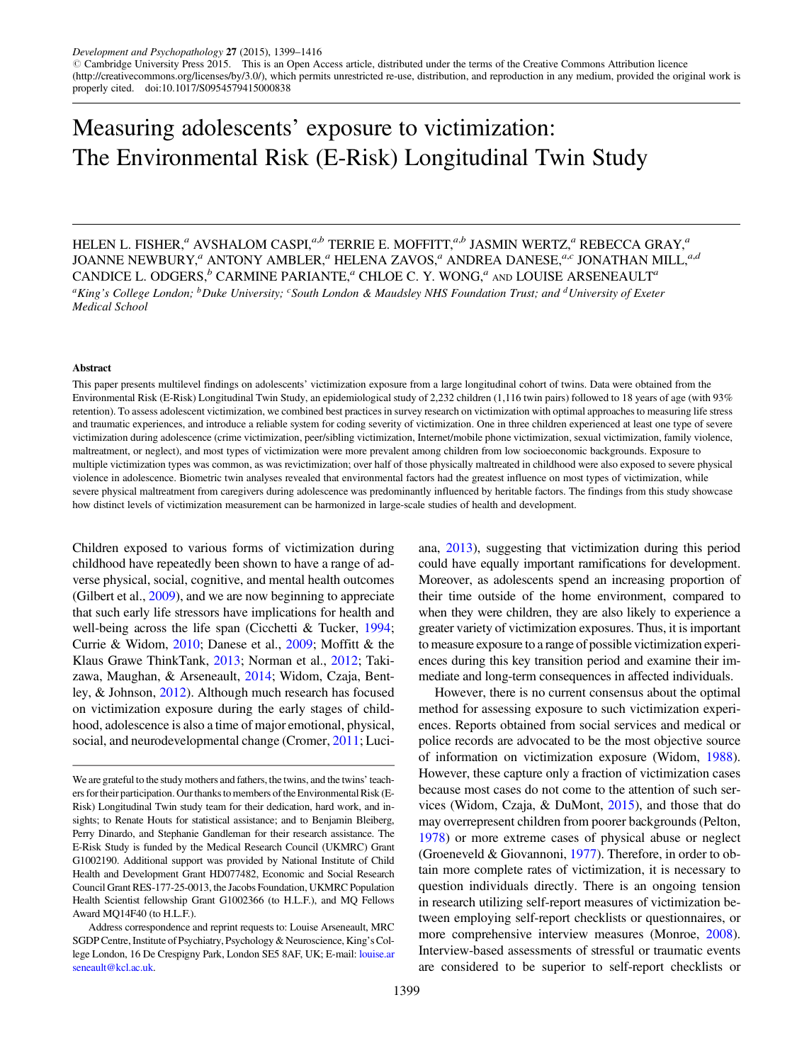# Measuring adolescents' exposure to victimization: The Environmental Risk (E-Risk) Longitudinal Twin Study

HELEN L. FISHER,<sup> $a$ </sup> AVSHALOM CASPI, $a$ , $b$  TERRIE E. MOFFITT, $a$ , $b$  JASMIN WERTZ, $a$ <sup> $r$ </sup> REBECCA GRAY, $a$ JOANNE NEWBURY,<sup>a</sup> ANTONY AMBLER,<sup>a</sup> HELENA ZAVOS,<sup>a</sup> ANDREA DANESE,<sup>a,c</sup> JONATHAN MILL,<sup>a,d</sup> CANDICE L. ODGERS, $b$  CARMINE PARIANTE,<sup>a</sup> CHLOE C. Y. WONG,<sup>a</sup> AND LOUISE ARSENEAULT<sup>a</sup> <sup>a</sup>King's College London; <sup>b</sup>Duke University; <sup>c</sup>South London & Maudsley NHS Foundation Trust; and <sup>d</sup>University of Exeter Medical School

#### Abstract

This paper presents multilevel findings on adolescents' victimization exposure from a large longitudinal cohort of twins. Data were obtained from the Environmental Risk (E-Risk) Longitudinal Twin Study, an epidemiological study of 2,232 children (1,116 twin pairs) followed to 18 years of age (with 93% retention). To assess adolescent victimization, we combined best practices in survey research on victimization with optimal approaches to measuring life stress and traumatic experiences, and introduce a reliable system for coding severity of victimization. One in three children experienced at least one type of severe victimization during adolescence (crime victimization, peer/sibling victimization, Internet/mobile phone victimization, sexual victimization, family violence, maltreatment, or neglect), and most types of victimization were more prevalent among children from low socioeconomic backgrounds. Exposure to multiple victimization types was common, as was revictimization; over half of those physically maltreated in childhood were also exposed to severe physical violence in adolescence. Biometric twin analyses revealed that environmental factors had the greatest influence on most types of victimization, while severe physical maltreatment from caregivers during adolescence was predominantly influenced by heritable factors. The findings from this study showcase how distinct levels of victimization measurement can be harmonized in large-scale studies of health and development.

Children exposed to various forms of victimization during childhood have repeatedly been shown to have a range of adverse physical, social, cognitive, and mental health outcomes (Gilbert et al., [2009\)](#page-16-0), and we are now beginning to appreciate that such early life stressors have implications for health and well-being across the life span (Cicchetti & Tucker, [1994](#page-15-0); Currie & Widom, [2010;](#page-15-0) Danese et al., [2009](#page-15-0); Moffitt & the Klaus Grawe ThinkTank, [2013](#page-16-0); Norman et al., [2012;](#page-16-0) Takizawa, Maughan, & Arseneault, [2014;](#page-16-0) Widom, Czaja, Bentley, & Johnson, [2012\)](#page-17-0). Although much research has focused on victimization exposure during the early stages of childhood, adolescence is also a time of major emotional, physical, social, and neurodevelopmental change (Cromer, [2011;](#page-15-0) Luci-

ana, [2013](#page-16-0)), suggesting that victimization during this period could have equally important ramifications for development. Moreover, as adolescents spend an increasing proportion of their time outside of the home environment, compared to when they were children, they are also likely to experience a greater variety of victimization exposures. Thus, it is important to measure exposure to a range of possible victimization experiences during this key transition period and examine their immediate and long-term consequences in affected individuals.

However, there is no current consensus about the optimal method for assessing exposure to such victimization experiences. Reports obtained from social services and medical or police records are advocated to be the most objective source of information on victimization exposure (Widom, [1988](#page-17-0)). However, these capture only a fraction of victimization cases because most cases do not come to the attention of such services (Widom, Czaja, & DuMont, [2015](#page-17-0)), and those that do may overrepresent children from poorer backgrounds (Pelton, [1978\)](#page-16-0) or more extreme cases of physical abuse or neglect (Groeneveld & Giovannoni, [1977\)](#page-16-0). Therefore, in order to obtain more complete rates of victimization, it is necessary to question individuals directly. There is an ongoing tension in research utilizing self-report measures of victimization between employing self-report checklists or questionnaires, or more comprehensive interview measures (Monroe, [2008](#page-16-0)). Interview-based assessments of stressful or traumatic events are considered to be superior to self-report checklists or

We are grateful to the study mothers and fathers, the twins, and the twins' teachers for their participation. Our thanksto members of the Environmental Risk (E-Risk) Longitudinal Twin study team for their dedication, hard work, and insights; to Renate Houts for statistical assistance; and to Benjamin Bleiberg, Perry Dinardo, and Stephanie Gandleman for their research assistance. The E-Risk Study is funded by the Medical Research Council (UKMRC) Grant G1002190. Additional support was provided by National Institute of Child Health and Development Grant HD077482, Economic and Social Research Council Grant RES-177-25-0013, the Jacobs Foundation, UKMRC Population Health Scientist fellowship Grant G1002366 (to H.L.F.), and MQ Fellows Award MQ14F40 (to H.L.F.).

Address correspondence and reprint requests to: Louise Arseneault, MRC SGDP Centre, Institute of Psychiatry, Psychology & Neuroscience, King's College London, 16 De Crespigny Park, London SE5 8AF, UK; E-mail: [louise.ar](mailto:louise.<?twbch=) [seneault@kcl.ac.uk](mailto:louise.<?twbch=).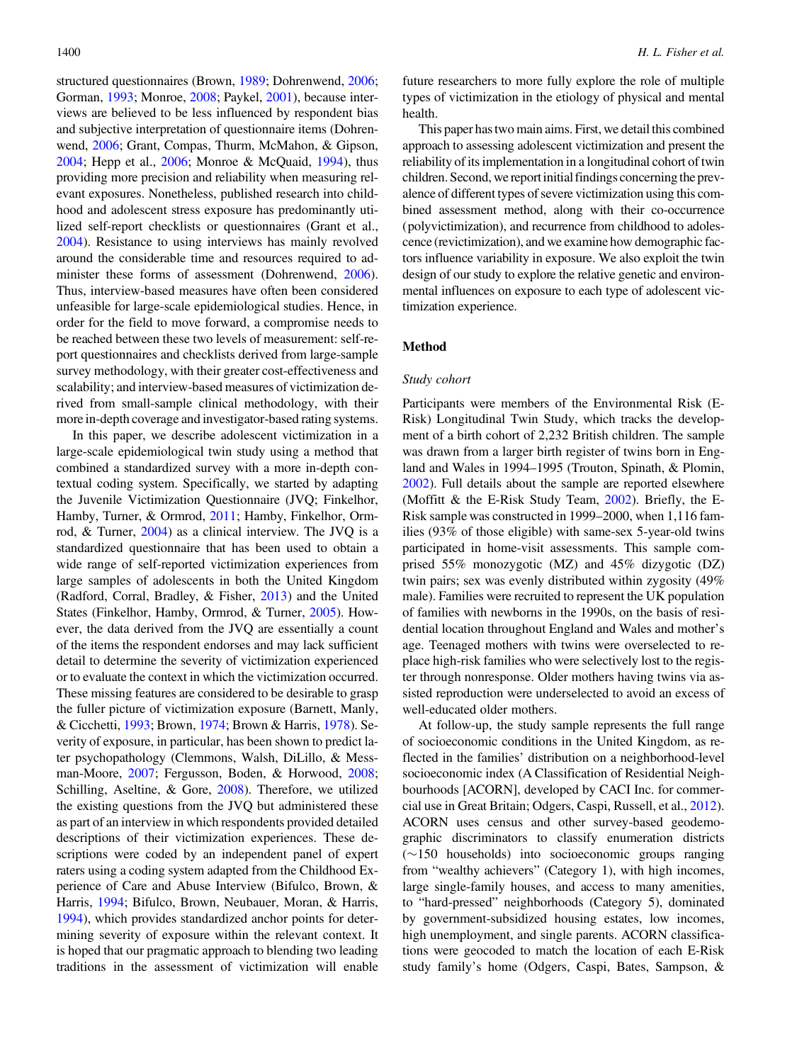structured questionnaires (Brown, [1989;](#page-15-0) Dohrenwend, [2006](#page-16-0); Gorman, [1993;](#page-16-0) Monroe, [2008](#page-16-0); Paykel, [2001](#page-16-0)), because interviews are believed to be less influenced by respondent bias and subjective interpretation of questionnaire items (Dohrenwend, [2006;](#page-16-0) Grant, Compas, Thurm, McMahon, & Gipson, [2004](#page-16-0); Hepp et al., [2006](#page-16-0); Monroe & McQuaid, [1994](#page-16-0)), thus providing more precision and reliability when measuring relevant exposures. Nonetheless, published research into childhood and adolescent stress exposure has predominantly utilized self-report checklists or questionnaires (Grant et al., [2004](#page-16-0)). Resistance to using interviews has mainly revolved around the considerable time and resources required to administer these forms of assessment (Dohrenwend, [2006](#page-16-0)). Thus, interview-based measures have often been considered unfeasible for large-scale epidemiological studies. Hence, in order for the field to move forward, a compromise needs to be reached between these two levels of measurement: self-report questionnaires and checklists derived from large-sample survey methodology, with their greater cost-effectiveness and scalability; and interview-based measures of victimization derived from small-sample clinical methodology, with their more in-depth coverage and investigator-based rating systems.

In this paper, we describe adolescent victimization in a large-scale epidemiological twin study using a method that combined a standardized survey with a more in-depth contextual coding system. Specifically, we started by adapting the Juvenile Victimization Questionnaire (JVQ; Finkelhor, Hamby, Turner, & Ormrod, [2011](#page-16-0); Hamby, Finkelhor, Ormrod, & Turner, [2004](#page-16-0)) as a clinical interview. The JVQ is a standardized questionnaire that has been used to obtain a wide range of self-reported victimization experiences from large samples of adolescents in both the United Kingdom (Radford, Corral, Bradley, & Fisher, [2013](#page-16-0)) and the United States (Finkelhor, Hamby, Ormrod, & Turner, [2005\)](#page-16-0). However, the data derived from the JVQ are essentially a count of the items the respondent endorses and may lack sufficient detail to determine the severity of victimization experienced or to evaluate the context in which the victimization occurred. These missing features are considered to be desirable to grasp the fuller picture of victimization exposure (Barnett, Manly, & Cicchetti, [1993](#page-15-0); Brown, [1974](#page-15-0); Brown & Harris, [1978](#page-15-0)). Severity of exposure, in particular, has been shown to predict later psychopathology (Clemmons, Walsh, DiLillo, & Messman-Moore, [2007](#page-15-0); Fergusson, Boden, & Horwood, [2008](#page-16-0); Schilling, Aseltine, & Gore, [2008\)](#page-16-0). Therefore, we utilized the existing questions from the JVQ but administered these as part of an interview in which respondents provided detailed descriptions of their victimization experiences. These descriptions were coded by an independent panel of expert raters using a coding system adapted from the Childhood Experience of Care and Abuse Interview (Bifulco, Brown, & Harris, [1994;](#page-15-0) Bifulco, Brown, Neubauer, Moran, & Harris, [1994](#page-15-0)), which provides standardized anchor points for determining severity of exposure within the relevant context. It is hoped that our pragmatic approach to blending two leading traditions in the assessment of victimization will enable

future researchers to more fully explore the role of multiple types of victimization in the etiology of physical and mental health.

This paper has two main aims. First, we detail this combined approach to assessing adolescent victimization and present the reliability of its implementation in a longitudinal cohort of twin children. Second, we reportinitial findings concerning the prevalence of different types of severe victimization using this combined assessment method, along with their co-occurrence (polyvictimization), and recurrence from childhood to adolescence (revictimization), and we examine how demographic factors influence variability in exposure. We also exploit the twin design of our study to explore the relative genetic and environmental influences on exposure to each type of adolescent victimization experience.

## Method

## Study cohort

Participants were members of the Environmental Risk (E-Risk) Longitudinal Twin Study, which tracks the development of a birth cohort of 2,232 British children. The sample was drawn from a larger birth register of twins born in England and Wales in 1994–1995 (Trouton, Spinath, & Plomin, [2002](#page-17-0)). Full details about the sample are reported elsewhere (Moffitt & the E-Risk Study Team, [2002\)](#page-16-0). Briefly, the E-Risk sample was constructed in 1999–2000, when 1,116 families (93% of those eligible) with same-sex 5-year-old twins participated in home-visit assessments. This sample comprised 55% monozygotic (MZ) and 45% dizygotic (DZ) twin pairs; sex was evenly distributed within zygosity (49% male). Families were recruited to represent the UK population of families with newborns in the 1990s, on the basis of residential location throughout England and Wales and mother's age. Teenaged mothers with twins were overselected to replace high-risk families who were selectively lost to the register through nonresponse. Older mothers having twins via assisted reproduction were underselected to avoid an excess of well-educated older mothers.

At follow-up, the study sample represents the full range of socioeconomic conditions in the United Kingdom, as reflected in the families' distribution on a neighborhood-level socioeconomic index (A Classification of Residential Neighbourhoods [ACORN], developed by CACI Inc. for commercial use in Great Britain; Odgers, Caspi, Russell, et al., [2012](#page-16-0)). ACORN uses census and other survey-based geodemographic discriminators to classify enumeration districts (-150 households) into socioeconomic groups ranging from "wealthy achievers" (Category 1), with high incomes, large single-family houses, and access to many amenities, to "hard-pressed" neighborhoods (Category 5), dominated by government-subsidized housing estates, low incomes, high unemployment, and single parents. ACORN classifications were geocoded to match the location of each E-Risk study family's home (Odgers, Caspi, Bates, Sampson, &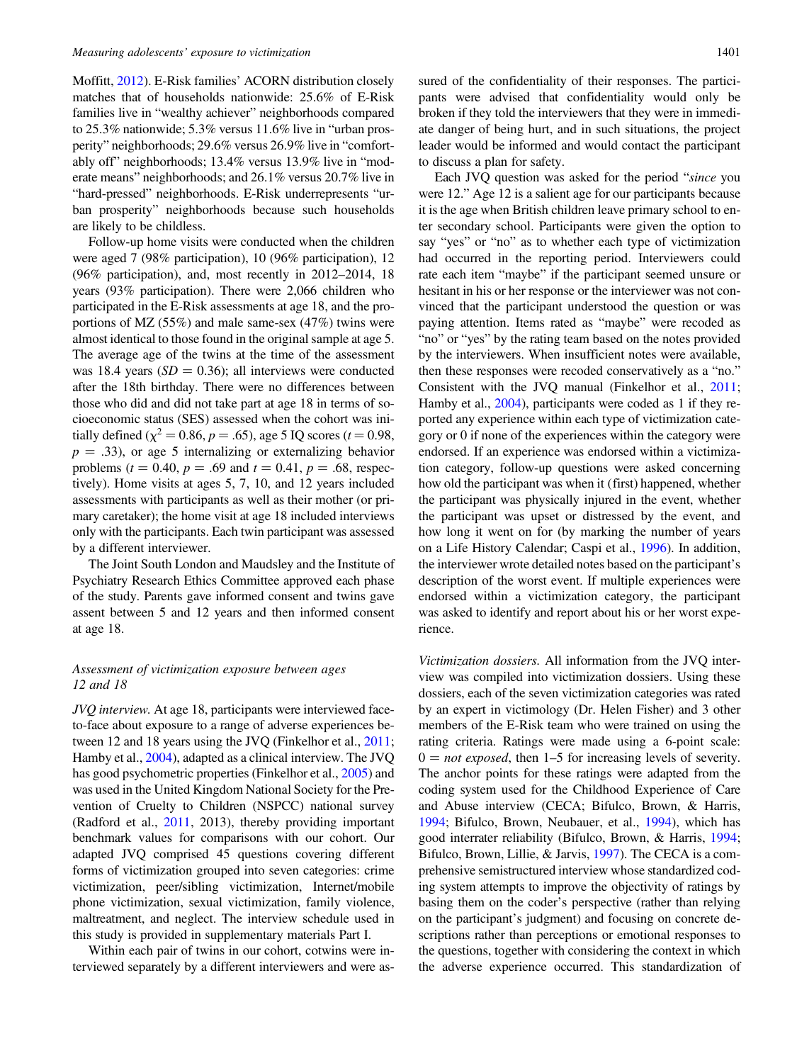Moffitt, [2012](#page-16-0)). E-Risk families' ACORN distribution closely matches that of households nationwide: 25.6% of E-Risk families live in "wealthy achiever" neighborhoods compared to 25.3% nationwide; 5.3% versus 11.6% live in "urban prosperity" neighborhoods; 29.6% versus 26.9% live in "comfortably off" neighborhoods; 13.4% versus 13.9% live in "moderate means" neighborhoods; and 26.1% versus 20.7% live in "hard-pressed" neighborhoods. E-Risk underrepresents "urban prosperity" neighborhoods because such households are likely to be childless.

Follow-up home visits were conducted when the children were aged 7 (98% participation), 10 (96% participation), 12 (96% participation), and, most recently in 2012–2014, 18 years (93% participation). There were 2,066 children who participated in the E-Risk assessments at age 18, and the proportions of MZ (55%) and male same-sex (47%) twins were almost identical to those found in the original sample at age 5. The average age of the twins at the time of the assessment was 18.4 years  $(SD = 0.36)$ ; all interviews were conducted after the 18th birthday. There were no differences between those who did and did not take part at age 18 in terms of socioeconomic status (SES) assessed when the cohort was initially defined ( $\chi^2 = 0.86$ ,  $p = .65$ ), age 5 IQ scores (t = 0.98,  $p = .33$ ), or age 5 internalizing or externalizing behavior problems ( $t = 0.40$ ,  $p = .69$  and  $t = 0.41$ ,  $p = .68$ , respectively). Home visits at ages 5, 7, 10, and 12 years included assessments with participants as well as their mother (or primary caretaker); the home visit at age 18 included interviews only with the participants. Each twin participant was assessed by a different interviewer.

The Joint South London and Maudsley and the Institute of Psychiatry Research Ethics Committee approved each phase of the study. Parents gave informed consent and twins gave assent between 5 and 12 years and then informed consent at age 18.

## Assessment of victimization exposure between ages 12 and 18

JVQ interview. At age 18, participants were interviewed faceto-face about exposure to a range of adverse experiences between 12 and 18 years using the JVQ (Finkelhor et al., [2011](#page-16-0); Hamby et al., [2004](#page-16-0)), adapted as a clinical interview. The JVQ has good psychometric properties (Finkelhor et al., [2005](#page-16-0)) and was used in the United Kingdom National Society for the Prevention of Cruelty to Children (NSPCC) national survey (Radford et al., [2011](#page-16-0), 2013), thereby providing important benchmark values for comparisons with our cohort. Our adapted JVQ comprised 45 questions covering different forms of victimization grouped into seven categories: crime victimization, peer/sibling victimization, Internet/mobile phone victimization, sexual victimization, family violence, maltreatment, and neglect. The interview schedule used in this study is provided in supplementary materials Part I.

Within each pair of twins in our cohort, cotwins were interviewed separately by a different interviewers and were assured of the confidentiality of their responses. The participants were advised that confidentiality would only be broken if they told the interviewers that they were in immediate danger of being hurt, and in such situations, the project leader would be informed and would contact the participant to discuss a plan for safety.

Each JVQ question was asked for the period "since you were 12." Age 12 is a salient age for our participants because it is the age when British children leave primary school to enter secondary school. Participants were given the option to say "yes" or "no" as to whether each type of victimization had occurred in the reporting period. Interviewers could rate each item "maybe" if the participant seemed unsure or hesitant in his or her response or the interviewer was not convinced that the participant understood the question or was paying attention. Items rated as "maybe" were recoded as "no" or "yes" by the rating team based on the notes provided by the interviewers. When insufficient notes were available, then these responses were recoded conservatively as a "no." Consistent with the JVQ manual (Finkelhor et al., [2011](#page-16-0); Hamby et al., [2004\)](#page-16-0), participants were coded as 1 if they reported any experience within each type of victimization category or 0 if none of the experiences within the category were endorsed. If an experience was endorsed within a victimization category, follow-up questions were asked concerning how old the participant was when it (first) happened, whether the participant was physically injured in the event, whether the participant was upset or distressed by the event, and how long it went on for (by marking the number of years on a Life History Calendar; Caspi et al., [1996\)](#page-15-0). In addition, the interviewer wrote detailed notes based on the participant's description of the worst event. If multiple experiences were endorsed within a victimization category, the participant was asked to identify and report about his or her worst experience.

Victimization dossiers. All information from the JVQ interview was compiled into victimization dossiers. Using these dossiers, each of the seven victimization categories was rated by an expert in victimology (Dr. Helen Fisher) and 3 other members of the E-Risk team who were trained on using the rating criteria. Ratings were made using a 6-point scale:  $0 = not exposed$ , then 1–5 for increasing levels of severity. The anchor points for these ratings were adapted from the coding system used for the Childhood Experience of Care and Abuse interview (CECA; Bifulco, Brown, & Harris, [1994;](#page-15-0) Bifulco, Brown, Neubauer, et al., [1994\)](#page-15-0), which has good interrater reliability (Bifulco, Brown, & Harris, [1994](#page-15-0); Bifulco, Brown, Lillie, & Jarvis, [1997\)](#page-15-0). The CECA is a comprehensive semistructured interview whose standardized coding system attempts to improve the objectivity of ratings by basing them on the coder's perspective (rather than relying on the participant's judgment) and focusing on concrete descriptions rather than perceptions or emotional responses to the questions, together with considering the context in which the adverse experience occurred. This standardization of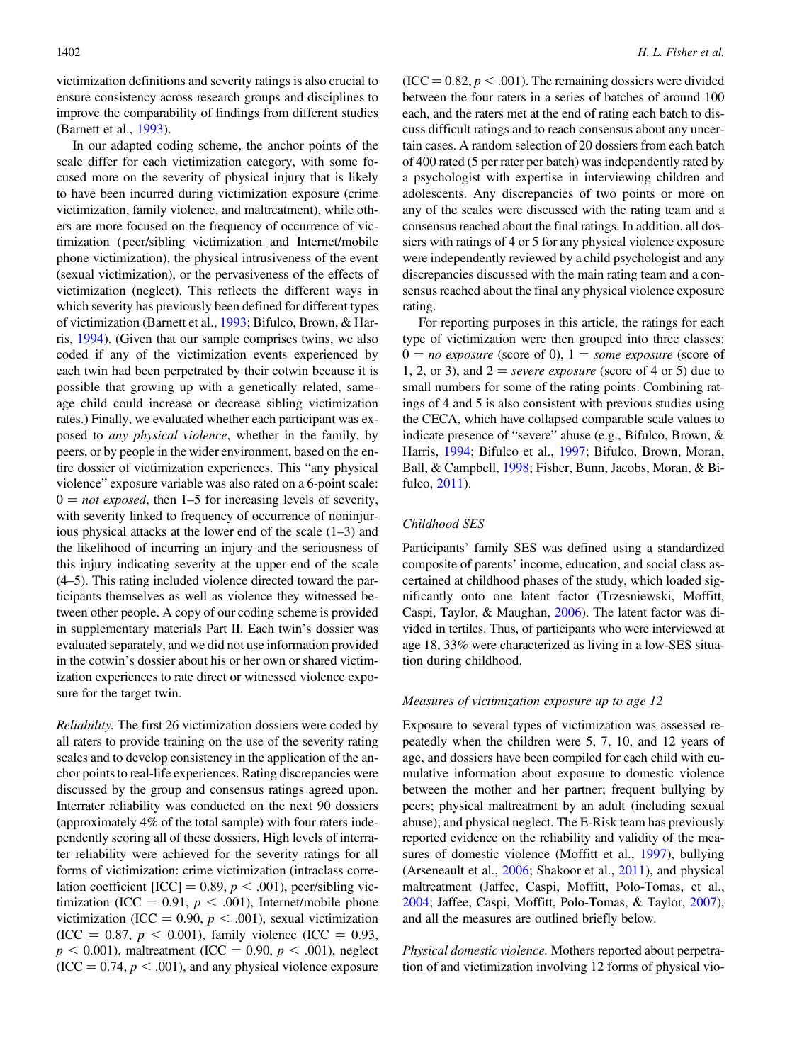victimization definitions and severity ratings is also crucial to ensure consistency across research groups and disciplines to improve the comparability of findings from different studies (Barnett et al., [1993\)](#page-15-0).

In our adapted coding scheme, the anchor points of the scale differ for each victimization category, with some focused more on the severity of physical injury that is likely to have been incurred during victimization exposure (crime victimization, family violence, and maltreatment), while others are more focused on the frequency of occurrence of victimization (peer/sibling victimization and Internet/mobile phone victimization), the physical intrusiveness of the event (sexual victimization), or the pervasiveness of the effects of victimization (neglect). This reflects the different ways in which severity has previously been defined for different types of victimization (Barnett et al., [1993;](#page-15-0) Bifulco, Brown, & Harris, [1994](#page-15-0)). (Given that our sample comprises twins, we also coded if any of the victimization events experienced by each twin had been perpetrated by their cotwin because it is possible that growing up with a genetically related, sameage child could increase or decrease sibling victimization rates.) Finally, we evaluated whether each participant was exposed to any physical violence, whether in the family, by peers, or by people in the wider environment, based on the entire dossier of victimization experiences. This "any physical violence" exposure variable was also rated on a 6-point scale:  $0 = not exposed$ , then 1–5 for increasing levels of severity, with severity linked to frequency of occurrence of noninjurious physical attacks at the lower end of the scale (1–3) and the likelihood of incurring an injury and the seriousness of this injury indicating severity at the upper end of the scale (4–5). This rating included violence directed toward the participants themselves as well as violence they witnessed between other people. A copy of our coding scheme is provided in supplementary materials Part II. Each twin's dossier was evaluated separately, and we did not use information provided in the cotwin's dossier about his or her own or shared victimization experiences to rate direct or witnessed violence exposure for the target twin.

Reliability. The first 26 victimization dossiers were coded by all raters to provide training on the use of the severity rating scales and to develop consistency in the application of the anchor points to real-life experiences. Rating discrepancies were discussed by the group and consensus ratings agreed upon. Interrater reliability was conducted on the next 90 dossiers (approximately 4% of the total sample) with four raters independently scoring all of these dossiers. High levels of interrater reliability were achieved for the severity ratings for all forms of victimization: crime victimization (intraclass correlation coefficient [ICC] = 0.89,  $p < .001$ ), peer/sibling victimization (ICC = 0.91,  $p < .001$ ), Internet/mobile phone victimization (ICC = 0.90,  $p < .001$ ), sexual victimization (ICC = 0.87,  $p < 0.001$ ), family violence (ICC = 0.93,  $p < 0.001$ ), maltreatment (ICC = 0.90,  $p < .001$ ), neglect  $(ICC = 0.74, p < .001)$ , and any physical violence exposure

 $(ICC = 0.82, p < .001)$ . The remaining dossiers were divided between the four raters in a series of batches of around 100 each, and the raters met at the end of rating each batch to discuss difficult ratings and to reach consensus about any uncertain cases. A random selection of 20 dossiers from each batch of 400 rated (5 per rater per batch) was independently rated by a psychologist with expertise in interviewing children and adolescents. Any discrepancies of two points or more on any of the scales were discussed with the rating team and a consensus reached about the final ratings. In addition, all dossiers with ratings of 4 or 5 for any physical violence exposure were independently reviewed by a child psychologist and any discrepancies discussed with the main rating team and a consensus reached about the final any physical violence exposure rating.

For reporting purposes in this article, the ratings for each type of victimization were then grouped into three classes:  $0 = no$  exposure (score of 0),  $1 = some$  exposure (score of 1, 2, or 3), and  $2 =$  severe exposure (score of 4 or 5) due to small numbers for some of the rating points. Combining ratings of 4 and 5 is also consistent with previous studies using the CECA, which have collapsed comparable scale values to indicate presence of "severe" abuse (e.g., Bifulco, Brown, & Harris, [1994;](#page-15-0) Bifulco et al., [1997](#page-15-0); Bifulco, Brown, Moran, Ball, & Campbell, [1998;](#page-15-0) Fisher, Bunn, Jacobs, Moran, & Bifulco, [2011\)](#page-16-0).

## Childhood SES

Participants' family SES was defined using a standardized composite of parents' income, education, and social class ascertained at childhood phases of the study, which loaded significantly onto one latent factor (Trzesniewski, Moffitt, Caspi, Taylor, & Maughan, [2006](#page-17-0)). The latent factor was divided in tertiles. Thus, of participants who were interviewed at age 18, 33% were characterized as living in a low-SES situation during childhood.

## Measures of victimization exposure up to age 12

Exposure to several types of victimization was assessed repeatedly when the children were 5, 7, 10, and 12 years of age, and dossiers have been compiled for each child with cumulative information about exposure to domestic violence between the mother and her partner; frequent bullying by peers; physical maltreatment by an adult (including sexual abuse); and physical neglect. The E-Risk team has previously reported evidence on the reliability and validity of the measures of domestic violence (Moffitt et al., [1997](#page-16-0)), bullying (Arseneault et al., [2006](#page-15-0); Shakoor et al., [2011](#page-16-0)), and physical maltreatment (Jaffee, Caspi, Moffitt, Polo-Tomas, et al., [2004](#page-16-0); Jaffee, Caspi, Moffitt, Polo-Tomas, & Taylor, [2007](#page-16-0)), and all the measures are outlined briefly below.

Physical domestic violence. Mothers reported about perpetration of and victimization involving 12 forms of physical vio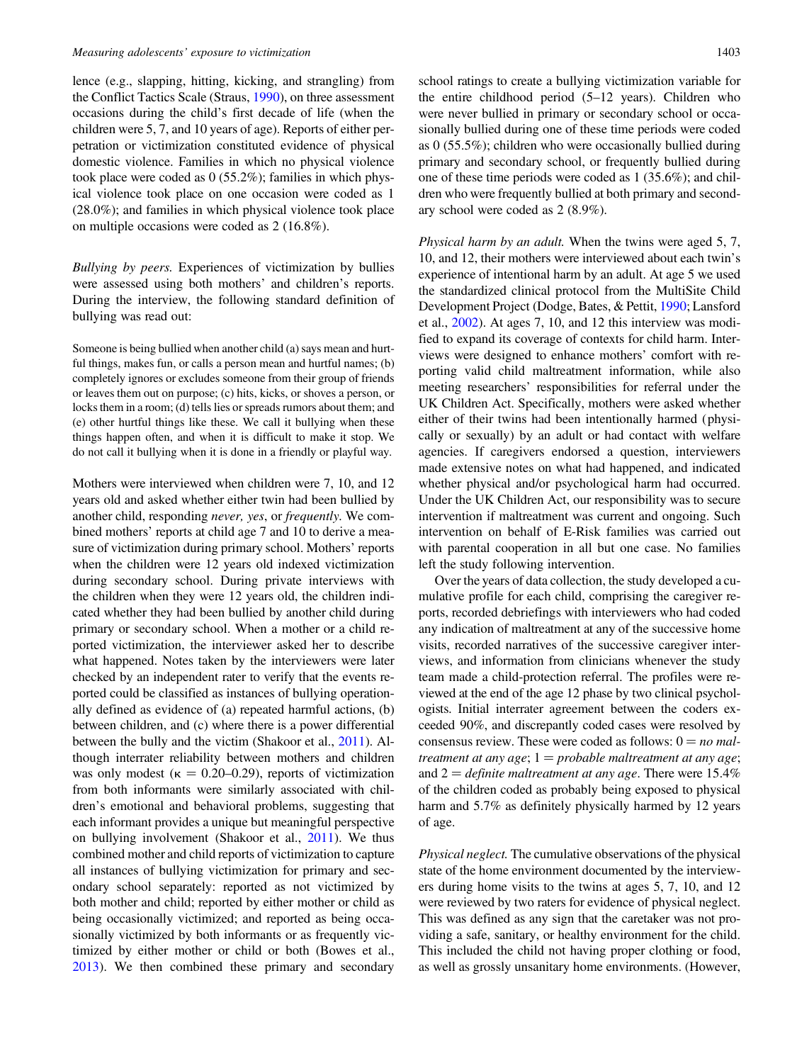lence (e.g., slapping, hitting, kicking, and strangling) from the Conflict Tactics Scale (Straus, [1990](#page-16-0)), on three assessment occasions during the child's first decade of life (when the children were 5, 7, and 10 years of age). Reports of either perpetration or victimization constituted evidence of physical domestic violence. Families in which no physical violence took place were coded as 0 (55.2%); families in which physical violence took place on one occasion were coded as 1 (28.0%); and families in which physical violence took place on multiple occasions were coded as 2 (16.8%).

Bullying by peers. Experiences of victimization by bullies were assessed using both mothers' and children's reports. During the interview, the following standard definition of bullying was read out:

Someone is being bullied when another child (a) says mean and hurtful things, makes fun, or calls a person mean and hurtful names; (b) completely ignores or excludes someone from their group of friends or leaves them out on purpose; (c) hits, kicks, or shoves a person, or locks them in a room; (d) tells lies or spreads rumors about them; and (e) other hurtful things like these. We call it bullying when these things happen often, and when it is difficult to make it stop. We do not call it bullying when it is done in a friendly or playful way.

Mothers were interviewed when children were 7, 10, and 12 years old and asked whether either twin had been bullied by another child, responding never, yes, or frequently. We combined mothers' reports at child age 7 and 10 to derive a measure of victimization during primary school. Mothers' reports when the children were 12 years old indexed victimization during secondary school. During private interviews with the children when they were 12 years old, the children indicated whether they had been bullied by another child during primary or secondary school. When a mother or a child reported victimization, the interviewer asked her to describe what happened. Notes taken by the interviewers were later checked by an independent rater to verify that the events reported could be classified as instances of bullying operationally defined as evidence of (a) repeated harmful actions, (b) between children, and (c) where there is a power differential between the bully and the victim (Shakoor et al., [2011](#page-16-0)). Although interrater reliability between mothers and children was only modest ( $\kappa = 0.20{\text -}0.29$ ), reports of victimization from both informants were similarly associated with children's emotional and behavioral problems, suggesting that each informant provides a unique but meaningful perspective on bullying involvement (Shakoor et al., [2011](#page-16-0)). We thus combined mother and child reports of victimization to capture all instances of bullying victimization for primary and secondary school separately: reported as not victimized by both mother and child; reported by either mother or child as being occasionally victimized; and reported as being occasionally victimized by both informants or as frequently victimized by either mother or child or both (Bowes et al., [2013](#page-15-0)). We then combined these primary and secondary

school ratings to create a bullying victimization variable for the entire childhood period (5–12 years). Children who were never bullied in primary or secondary school or occasionally bullied during one of these time periods were coded as 0 (55.5%); children who were occasionally bullied during primary and secondary school, or frequently bullied during one of these time periods were coded as 1 (35.6%); and children who were frequently bullied at both primary and secondary school were coded as 2 (8.9%).

Physical harm by an adult. When the twins were aged 5, 7, 10, and 12, their mothers were interviewed about each twin's experience of intentional harm by an adult. At age 5 we used the standardized clinical protocol from the MultiSite Child Development Project (Dodge, Bates, & Pettit, [1990;](#page-16-0) Lansford et al., [2002\)](#page-16-0). At ages 7, 10, and 12 this interview was modified to expand its coverage of contexts for child harm. Interviews were designed to enhance mothers' comfort with reporting valid child maltreatment information, while also meeting researchers' responsibilities for referral under the UK Children Act. Specifically, mothers were asked whether either of their twins had been intentionally harmed (physically or sexually) by an adult or had contact with welfare agencies. If caregivers endorsed a question, interviewers made extensive notes on what had happened, and indicated whether physical and/or psychological harm had occurred. Under the UK Children Act, our responsibility was to secure intervention if maltreatment was current and ongoing. Such intervention on behalf of E-Risk families was carried out with parental cooperation in all but one case. No families left the study following intervention.

Over the years of data collection, the study developed a cumulative profile for each child, comprising the caregiver reports, recorded debriefings with interviewers who had coded any indication of maltreatment at any of the successive home visits, recorded narratives of the successive caregiver interviews, and information from clinicians whenever the study team made a child-protection referral. The profiles were reviewed at the end of the age 12 phase by two clinical psychologists. Initial interrater agreement between the coders exceeded 90%, and discrepantly coded cases were resolved by consensus review. These were coded as follows:  $0 = no$  maltreatment at any age;  $1 =$  probable maltreatment at any age; and  $2 =$  definite maltreatment at any age. There were 15.4% of the children coded as probably being exposed to physical harm and 5.7% as definitely physically harmed by 12 years of age.

Physical neglect. The cumulative observations of the physical state of the home environment documented by the interviewers during home visits to the twins at ages 5, 7, 10, and 12 were reviewed by two raters for evidence of physical neglect. This was defined as any sign that the caretaker was not providing a safe, sanitary, or healthy environment for the child. This included the child not having proper clothing or food, as well as grossly unsanitary home environments. (However,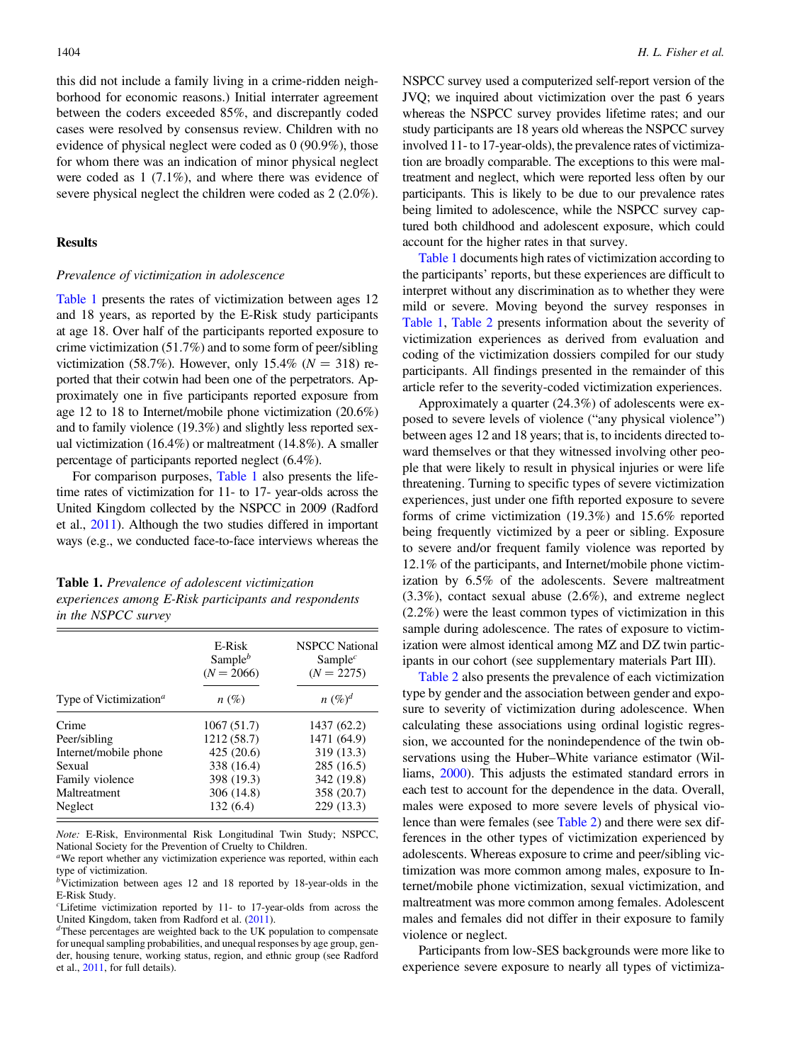this did not include a family living in a crime-ridden neighborhood for economic reasons.) Initial interrater agreement between the coders exceeded 85%, and discrepantly coded cases were resolved by consensus review. Children with no evidence of physical neglect were coded as 0 (90.9%), those for whom there was an indication of minor physical neglect were coded as 1 (7.1%), and where there was evidence of severe physical neglect the children were coded as 2 (2.0%).

#### **Results**

#### Prevalence of victimization in adolescence

Table 1 presents the rates of victimization between ages 12 and 18 years, as reported by the E-Risk study participants at age 18. Over half of the participants reported exposure to crime victimization (51.7%) and to some form of peer/sibling victimization (58.7%). However, only 15.4% ( $N = 318$ ) reported that their cotwin had been one of the perpetrators. Approximately one in five participants reported exposure from age 12 to 18 to Internet/mobile phone victimization (20.6%) and to family violence (19.3%) and slightly less reported sexual victimization (16.4%) or maltreatment (14.8%). A smaller percentage of participants reported neglect (6.4%).

For comparison purposes, Table 1 also presents the lifetime rates of victimization for 11- to 17- year-olds across the United Kingdom collected by the NSPCC in 2009 (Radford et al., [2011](#page-16-0)). Although the two studies differed in important ways (e.g., we conducted face-to-face interviews whereas the

Table 1. Prevalence of adolescent victimization experiences among E-Risk participants and respondents in the NSPCC survey

|                                                 | E-Risk<br>Sample $^b$<br>$(N = 2066)$ | <b>NSPCC</b> National<br>Sample <sup><math>c</math></sup><br>$(N = 2275)$ |
|-------------------------------------------------|---------------------------------------|---------------------------------------------------------------------------|
| Type of Victimization <sup><math>a</math></sup> | $n(\%)$                               | $n \ (\%)^d$                                                              |
| Crime                                           | 1067(51.7)                            | 1437 (62.2)                                                               |
| Peer/sibling                                    | 1212 (58.7)                           | 1471 (64.9)                                                               |
| Internet/mobile phone                           | 425(20.6)                             | 319 (13.3)                                                                |
| Sexual                                          | 338 (16.4)                            | 285 (16.5)                                                                |
| Family violence                                 | 398 (19.3)                            | 342 (19.8)                                                                |
| Maltreatment                                    | 306 (14.8)                            | 358 (20.7)                                                                |
| Neglect                                         | 132(6.4)                              | 229 (13.3)                                                                |

Note: E-Risk, Environmental Risk Longitudinal Twin Study; NSPCC, National Society for the Prevention of Cruelty to Children.

<sup>a</sup>We report whether any victimization experience was reported, within each type of victimization.

 $b\tilde{V}$ ictimization between ages 12 and 18 reported by 18-year-olds in the E-Risk Study.

 $c$ Lifetime victimization reported by 11- to 17-year-olds from across the United Kingdom, taken from Radford et al.  $(2011)$ .<br>dThese percentages are weighted back to the UK population to compensate

for unequal sampling probabilities, and unequal responses by age group, gender, housing tenure, working status, region, and ethnic group (see Radford et al., [2011,](#page-16-0) for full details).

NSPCC survey used a computerized self-report version of the JVQ; we inquired about victimization over the past 6 years whereas the NSPCC survey provides lifetime rates; and our study participants are 18 years old whereas the NSPCC survey involved 11- to 17-year-olds), the prevalence rates of victimization are broadly comparable. The exceptions to this were maltreatment and neglect, which were reported less often by our participants. This is likely to be due to our prevalence rates being limited to adolescence, while the NSPCC survey captured both childhood and adolescent exposure, which could account for the higher rates in that survey.

Table 1 documents high rates of victimization according to the participants' reports, but these experiences are difficult to interpret without any discrimination as to whether they were mild or severe. Moving beyond the survey responses in Table 1, [Table 2](#page-6-0) presents information about the severity of victimization experiences as derived from evaluation and coding of the victimization dossiers compiled for our study participants. All findings presented in the remainder of this article refer to the severity-coded victimization experiences.

Approximately a quarter (24.3%) of adolescents were exposed to severe levels of violence ("any physical violence") between ages 12 and 18 years; that is, to incidents directed toward themselves or that they witnessed involving other people that were likely to result in physical injuries or were life threatening. Turning to specific types of severe victimization experiences, just under one fifth reported exposure to severe forms of crime victimization (19.3%) and 15.6% reported being frequently victimized by a peer or sibling. Exposure to severe and/or frequent family violence was reported by 12.1% of the participants, and Internet/mobile phone victimization by 6.5% of the adolescents. Severe maltreatment (3.3%), contact sexual abuse (2.6%), and extreme neglect (2.2%) were the least common types of victimization in this sample during adolescence. The rates of exposure to victimization were almost identical among MZ and DZ twin participants in our cohort (see supplementary materials Part III).

[Table 2](#page-6-0) also presents the prevalence of each victimization type by gender and the association between gender and exposure to severity of victimization during adolescence. When calculating these associations using ordinal logistic regression, we accounted for the nonindependence of the twin observations using the Huber–White variance estimator (Williams, [2000\)](#page-17-0). This adjusts the estimated standard errors in each test to account for the dependence in the data. Overall, males were exposed to more severe levels of physical violence than were females (see [Table 2](#page-6-0)) and there were sex differences in the other types of victimization experienced by adolescents. Whereas exposure to crime and peer/sibling victimization was more common among males, exposure to Internet/mobile phone victimization, sexual victimization, and maltreatment was more common among females. Adolescent males and females did not differ in their exposure to family violence or neglect.

Participants from low-SES backgrounds were more like to experience severe exposure to nearly all types of victimiza-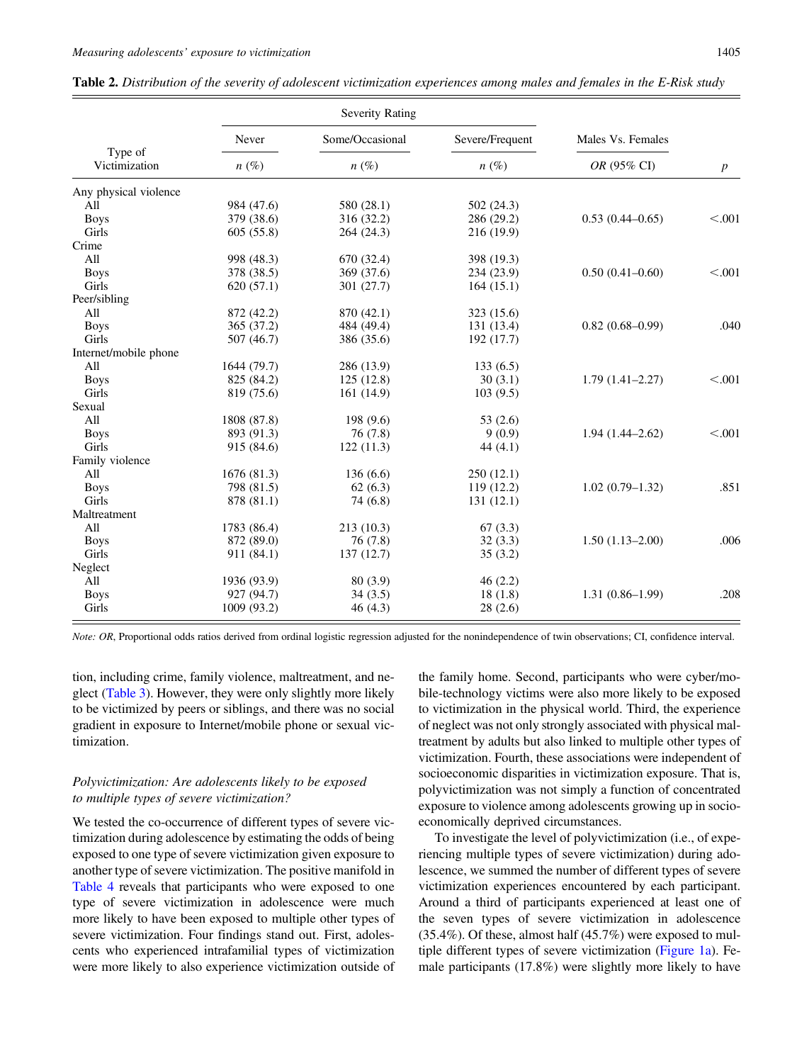|                          |             | <b>Severity Rating</b> |                 |                     |                  |
|--------------------------|-------------|------------------------|-----------------|---------------------|------------------|
|                          | Never       | Some/Occasional        | Severe/Frequent | Males Vs. Females   |                  |
| Type of<br>Victimization | $n(\%)$     | $n(\%)$                | $n(\%)$         | OR (95% CI)         | $\boldsymbol{p}$ |
| Any physical violence    |             |                        |                 |                     |                  |
| All                      | 984 (47.6)  | 580 (28.1)             | 502(24.3)       |                     |                  |
| <b>Boys</b>              | 379 (38.6)  | 316 (32.2)             | 286 (29.2)      | $0.53(0.44 - 0.65)$ | < 0.001          |
| Girls                    | 605 (55.8)  | 264 (24.3)             | 216 (19.9)      |                     |                  |
| Crime                    |             |                        |                 |                     |                  |
| All                      | 998 (48.3)  | 670 (32.4)             | 398 (19.3)      |                     |                  |
| <b>Boys</b>              | 378 (38.5)  | 369 (37.6)             | 234(23.9)       | $0.50(0.41 - 0.60)$ | < 0.001          |
| Girls                    | 620(57.1)   | 301 (27.7)             | 164(15.1)       |                     |                  |
| Peer/sibling             |             |                        |                 |                     |                  |
| All                      | 872 (42.2)  | 870 (42.1)             | 323 (15.6)      |                     |                  |
| <b>Boys</b>              | 365 (37.2)  | 484 (49.4)             | 131 (13.4)      | $0.82(0.68 - 0.99)$ | .040             |
| Girls                    | 507 (46.7)  | 386 (35.6)             | 192 (17.7)      |                     |                  |
| Internet/mobile phone    |             |                        |                 |                     |                  |
| All                      | 1644 (79.7) | 286 (13.9)             | 133(6.5)        |                     |                  |
| <b>Boys</b>              | 825 (84.2)  | 125(12.8)              | 30(3.1)         | $1.79(1.41 - 2.27)$ | < 0.001          |
| Girls                    | 819 (75.6)  | 161 (14.9)             | 103(9.5)        |                     |                  |
| Sexual                   |             |                        |                 |                     |                  |
| All                      | 1808 (87.8) | 198 (9.6)              | 53 $(2.6)$      |                     |                  |
| <b>Boys</b>              | 893 (91.3)  | 76(7.8)                | 9(0.9)          | $1.94(1.44 - 2.62)$ | < 0.001          |
| Girls                    | 915 (84.6)  | 122(11.3)              | 44 $(4.1)$      |                     |                  |
| Family violence          |             |                        |                 |                     |                  |
| All                      | 1676 (81.3) | 136(6.6)               | 250(12.1)       |                     |                  |
| <b>Boys</b>              | 798 (81.5)  | 62(6.3)                | 119(12.2)       | $1.02(0.79-1.32)$   | .851             |
| <b>Girls</b>             | 878 (81.1)  | 74(6.8)                | 131(12.1)       |                     |                  |
| Maltreatment             |             |                        |                 |                     |                  |
| All                      | 1783 (86.4) | 213 (10.3)             | 67(3.3)         |                     |                  |
| <b>Boys</b>              | 872 (89.0)  | 76(7.8)                | 32(3.3)         | $1.50(1.13-2.00)$   | .006             |
| Girls                    | 911 (84.1)  | 137(12.7)              | 35(3.2)         |                     |                  |
| Neglect                  |             |                        |                 |                     |                  |
| All                      | 1936 (93.9) | 80(3.9)                | 46(2.2)         |                     |                  |
| <b>Boys</b>              | 927 (94.7)  | 34(3.5)                | 18(1.8)         | $1.31(0.86 - 1.99)$ | .208             |
| Girls                    | 1009 (93.2) | 46(4.3)                | 28(2.6)         |                     |                  |

<span id="page-6-0"></span>

| Table 2. Distribution of the severity of adolescent victimization experiences among males and females in the E-Risk study |  |  |  |  |  |  |
|---------------------------------------------------------------------------------------------------------------------------|--|--|--|--|--|--|
|                                                                                                                           |  |  |  |  |  |  |

Note: OR, Proportional odds ratios derived from ordinal logistic regression adjusted for the nonindependence of twin observations; CI, confidence interval.

tion, including crime, family violence, maltreatment, and neglect [\(Table 3\)](#page-7-0). However, they were only slightly more likely to be victimized by peers or siblings, and there was no social gradient in exposure to Internet/mobile phone or sexual victimization.

# Polyvictimization: Are adolescents likely to be exposed to multiple types of severe victimization?

We tested the co-occurrence of different types of severe victimization during adolescence by estimating the odds of being exposed to one type of severe victimization given exposure to another type of severe victimization. The positive manifold in [Table 4](#page-7-0) reveals that participants who were exposed to one type of severe victimization in adolescence were much more likely to have been exposed to multiple other types of severe victimization. Four findings stand out. First, adolescents who experienced intrafamilial types of victimization were more likely to also experience victimization outside of the family home. Second, participants who were cyber/mobile-technology victims were also more likely to be exposed to victimization in the physical world. Third, the experience of neglect was not only strongly associated with physical maltreatment by adults but also linked to multiple other types of victimization. Fourth, these associations were independent of socioeconomic disparities in victimization exposure. That is, polyvictimization was not simply a function of concentrated exposure to violence among adolescents growing up in socioeconomically deprived circumstances.

To investigate the level of polyvictimization (i.e., of experiencing multiple types of severe victimization) during adolescence, we summed the number of different types of severe victimization experiences encountered by each participant. Around a third of participants experienced at least one of the seven types of severe victimization in adolescence (35.4%). Of these, almost half (45.7%) were exposed to multiple different types of severe victimization ([Figure 1a](#page-8-0)). Female participants (17.8%) were slightly more likely to have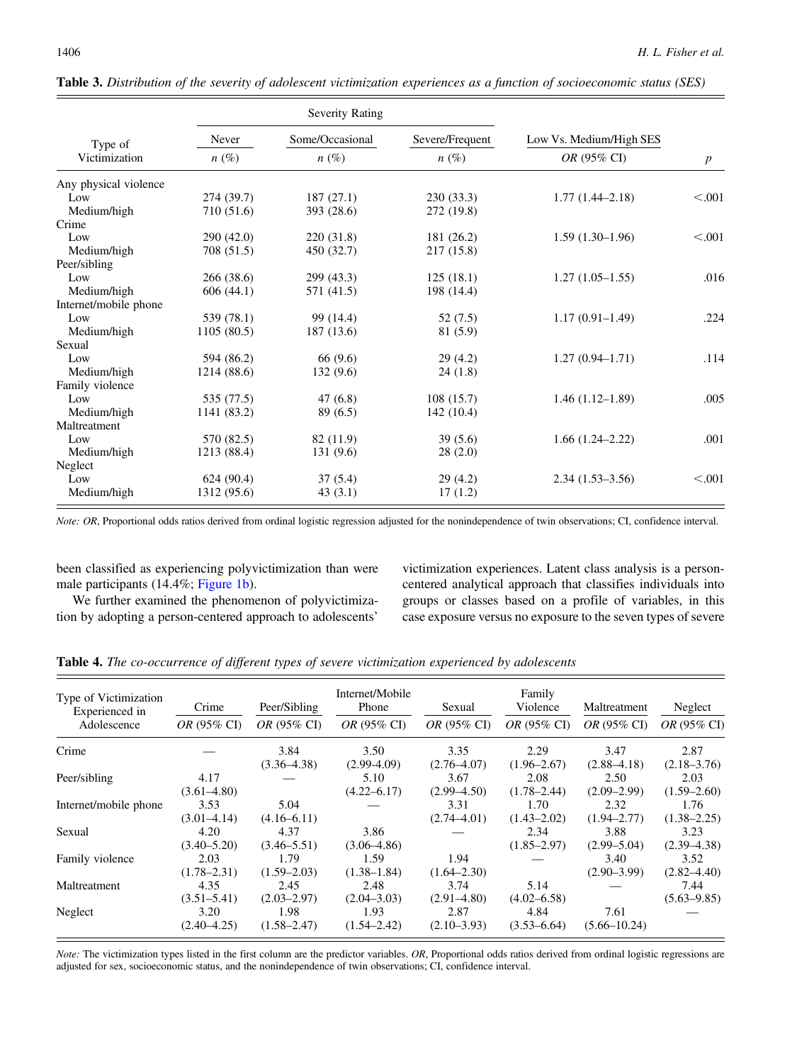|                       |             | Severity Rating |                 |                         |                  |
|-----------------------|-------------|-----------------|-----------------|-------------------------|------------------|
| Type of               | Never       | Some/Occasional | Severe/Frequent | Low Vs. Medium/High SES |                  |
| Victimization         | $n(\%)$     | $n(\%)$         | $n(\%)$         | OR (95% CI)             | $\boldsymbol{p}$ |
| Any physical violence |             |                 |                 |                         |                  |
| Low                   | 274(39.7)   | 187(27.1)       | 230(33.3)       | $1.77(1.44 - 2.18)$     | < 0.001          |
| Medium/high           | 710 (51.6)  | 393 (28.6)      | 272 (19.8)      |                         |                  |
| Crime                 |             |                 |                 |                         |                  |
| Low                   | 290(42.0)   | 220(31.8)       | 181 (26.2)      | $1.59(1.30-1.96)$       | < 0.001          |
| Medium/high           | 708 (51.5)  | 450 (32.7)      | 217 (15.8)      |                         |                  |
| Peer/sibling          |             |                 |                 |                         |                  |
| Low                   | 266(38.6)   | 299 (43.3)      | 125(18.1)       | $1.27(1.05-1.55)$       | .016             |
| Medium/high           | 606(44.1)   | 571 (41.5)      | 198 (14.4)      |                         |                  |
| Internet/mobile phone |             |                 |                 |                         |                  |
| Low                   | 539 (78.1)  | 99 (14.4)       | 52 (7.5)        | $1.17(0.91 - 1.49)$     | .224             |
| Medium/high           | 1105(80.5)  | 187 (13.6)      | 81 (5.9)        |                         |                  |
| Sexual                |             |                 |                 |                         |                  |
| Low                   | 594 (86.2)  | 66 (9.6)        | 29(4.2)         | $1.27(0.94 - 1.71)$     | .114             |
| Medium/high           | 1214 (88.6) | 132(9.6)        | 24(1.8)         |                         |                  |
| Family violence       |             |                 |                 |                         |                  |
| Low                   | 535 (77.5)  | 47(6.8)         | 108(15.7)       | $1.46(1.12-1.89)$       | .005             |
| Medium/high           | 1141 (83.2) | 89(6.5)         | 142(10.4)       |                         |                  |
| Maltreatment          |             |                 |                 |                         |                  |
| Low                   | 570 (82.5)  | 82 (11.9)       | 39(5.6)         | $1.66(1.24 - 2.22)$     | .001             |
| Medium/high           | 1213 (88.4) | 131(9.6)        | 28(2.0)         |                         |                  |
| Neglect               |             |                 |                 |                         |                  |
| Low                   | 624(90.4)   | 37(5.4)         | 29(4.2)         | $2.34(1.53-3.56)$       | < 0.001          |
| Medium/high           | 1312 (95.6) | 43(3.1)         | 17(1.2)         |                         |                  |

<span id="page-7-0"></span>Table 3. Distribution of the severity of adolescent victimization experiences as a function of socioeconomic status (SES)

Note: OR, Proportional odds ratios derived from ordinal logistic regression adjusted for the nonindependence of twin observations; CI, confidence interval.

been classified as experiencing polyvictimization than were male participants (14.4%; [Figure 1b\)](#page-8-0).

We further examined the phenomenon of polyvictimization by adopting a person-centered approach to adolescents'

victimization experiences. Latent class analysis is a personcentered analytical approach that classifies individuals into groups or classes based on a profile of variables, in this case exposure versus no exposure to the seven types of severe

| Type of Victimization<br>Experienced in<br>Adolescence | Crime<br>OR (95% CI)    | Peer/Sibling<br><i>OR</i> (95% CI) | Internet/Mobile<br>Phone<br>OR (95% CI) | Sexual<br>OR (95% CI)   | Family<br>Violence<br><i>OR</i> (95% CI) | Maltreatment<br><i>OR</i> (95% CI) | Neglect<br>OR (95% CI)  |
|--------------------------------------------------------|-------------------------|------------------------------------|-----------------------------------------|-------------------------|------------------------------------------|------------------------------------|-------------------------|
| Crime                                                  |                         | 3.84<br>$(3.36 - 4.38)$            | 3.50<br>$(2.99-4.09)$                   | 3.35<br>$(2.76 - 4.07)$ | 2.29<br>$(1.96 - 2.67)$                  | 3.47<br>$(2.88 - 4.18)$            | 2.87<br>$(2.18 - 3.76)$ |
| Peer/sibling                                           | 4.17<br>$(3.61 - 4.80)$ |                                    | 5.10<br>$(4.22 - 6.17)$                 | 3.67<br>$(2.99 - 4.50)$ | 2.08<br>$(1.78 - 2.44)$                  | 2.50<br>$(2.09 - 2.99)$            | 2.03<br>$(1.59 - 2.60)$ |
| Internet/mobile phone                                  | 3.53<br>$(3.01 - 4.14)$ | 5.04<br>$(4.16 - 6.11)$            |                                         | 3.31<br>$(2.74 - 4.01)$ | 1.70<br>$(1.43 - 2.02)$                  | 2.32<br>$(1.94 - 2.77)$            | 1.76<br>$(1.38 - 2.25)$ |
| Sexual                                                 | 4.20<br>$(3.40 - 5.20)$ | 4.37<br>$(3.46 - 5.51)$            | 3.86<br>$(3.06 - 4.86)$                 |                         | 2.34<br>$(1.85 - 2.97)$                  | 3.88<br>$(2.99 - 5.04)$            | 3.23<br>$(2.39 - 4.38)$ |
| Family violence                                        | 2.03<br>$(1.78 - 2.31)$ | 1.79<br>$(1.59 - 2.03)$            | 1.59<br>$(1.38 - 1.84)$                 | 1.94<br>$(1.64 - 2.30)$ |                                          | 3.40<br>$(2.90 - 3.99)$            | 3.52<br>$(2.82 - 4.40)$ |
| Maltreatment                                           | 4.35<br>$(3.51 - 5.41)$ | 2.45<br>$(2.03 - 2.97)$            | 2.48<br>$(2.04 - 3.03)$                 | 3.74<br>$(2.91 - 4.80)$ | 5.14<br>$(4.02 - 6.58)$                  |                                    | 7.44<br>$(5.63 - 9.85)$ |
| Neglect                                                | 3.20<br>$(2.40 - 4.25)$ | 1.98<br>$(1.58 - 2.47)$            | 1.93<br>$(1.54 - 2.42)$                 | 2.87<br>$(2.10 - 3.93)$ | 4.84<br>$(3.53 - 6.64)$                  | 7.61<br>$(5.66 - 10.24)$           |                         |

Table 4. The co-occurrence of different types of severe victimization experienced by adolescents

Note: The victimization types listed in the first column are the predictor variables. OR, Proportional odds ratios derived from ordinal logistic regressions are adjusted for sex, socioeconomic status, and the nonindependence of twin observations; CI, confidence interval.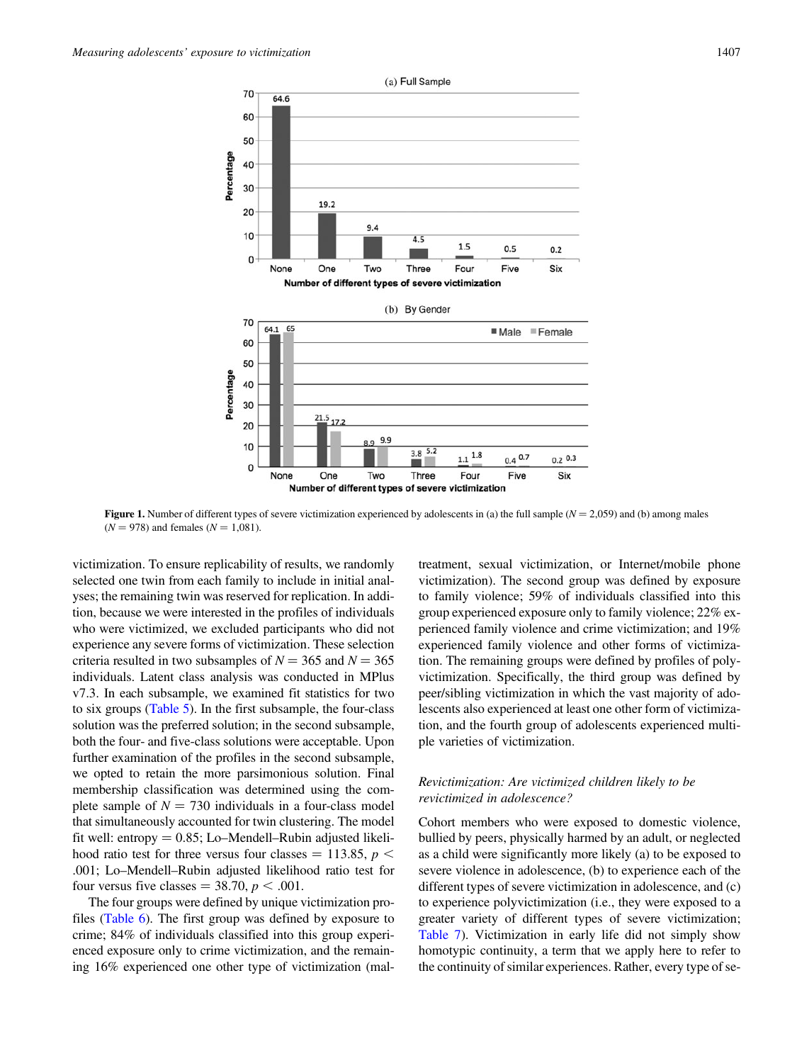<span id="page-8-0"></span>

**Figure 1.** Number of different types of severe victimization experienced by adolescents in (a) the full sample ( $N = 2,059$ ) and (b) among males  $(N = 978)$  and females  $(N = 1,081)$ .

victimization. To ensure replicability of results, we randomly selected one twin from each family to include in initial analyses; the remaining twin was reserved for replication. In addition, because we were interested in the profiles of individuals who were victimized, we excluded participants who did not experience any severe forms of victimization. These selection criteria resulted in two subsamples of  $N = 365$  and  $N = 365$ individuals. Latent class analysis was conducted in MPlus v7.3. In each subsample, we examined fit statistics for two to six groups [\(Table 5](#page-9-0)). In the first subsample, the four-class solution was the preferred solution; in the second subsample, both the four- and five-class solutions were acceptable. Upon further examination of the profiles in the second subsample, we opted to retain the more parsimonious solution. Final membership classification was determined using the complete sample of  $N = 730$  individuals in a four-class model that simultaneously accounted for twin clustering. The model fit well: entropy  $= 0.85$ ; Lo–Mendell–Rubin adjusted likelihood ratio test for three versus four classes  $=$  113.85,  $p$   $\lt$ .001; Lo–Mendell–Rubin adjusted likelihood ratio test for four versus five classes = 38.70,  $p < .001$ .

The four groups were defined by unique victimization profiles ([Table 6](#page-9-0)). The first group was defined by exposure to crime; 84% of individuals classified into this group experienced exposure only to crime victimization, and the remaining 16% experienced one other type of victimization (maltreatment, sexual victimization, or Internet/mobile phone victimization). The second group was defined by exposure to family violence; 59% of individuals classified into this group experienced exposure only to family violence; 22% experienced family violence and crime victimization; and 19% experienced family violence and other forms of victimization. The remaining groups were defined by profiles of polyvictimization. Specifically, the third group was defined by peer/sibling victimization in which the vast majority of adolescents also experienced at least one other form of victimization, and the fourth group of adolescents experienced multiple varieties of victimization.

# Revictimization: Are victimized children likely to be revictimized in adolescence?

Cohort members who were exposed to domestic violence, bullied by peers, physically harmed by an adult, or neglected as a child were significantly more likely (a) to be exposed to severe violence in adolescence, (b) to experience each of the different types of severe victimization in adolescence, and (c) to experience polyvictimization (i.e., they were exposed to a greater variety of different types of severe victimization; [Table 7\)](#page-10-0). Victimization in early life did not simply show homotypic continuity, a term that we apply here to refer to the continuity of similar experiences. Rather, every type of se-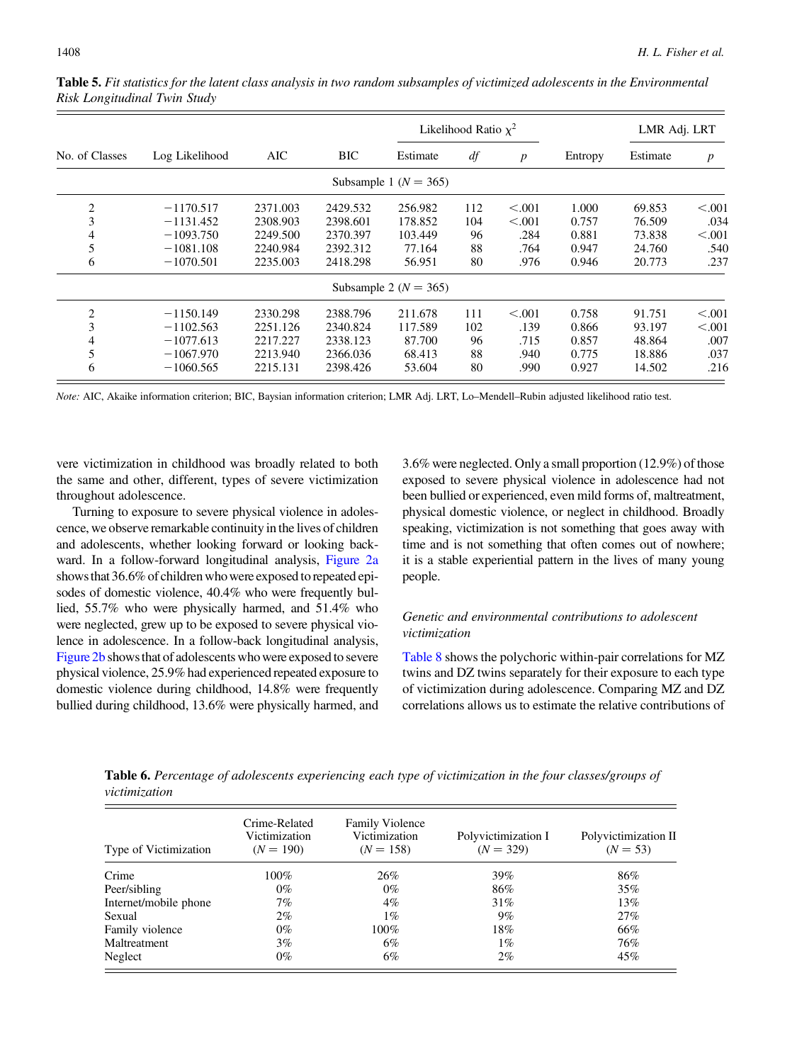|                |                |          |            |                           | Likelihood Ratio $\chi^2$ |                  |         | LMR Adj. LRT |                  |
|----------------|----------------|----------|------------|---------------------------|---------------------------|------------------|---------|--------------|------------------|
| No. of Classes | Log Likelihood | AIC      | <b>BIC</b> | Estimate                  | df                        | $\boldsymbol{p}$ | Entropy | Estimate     | $\boldsymbol{p}$ |
|                |                |          |            | Subsample 1 ( $N = 365$ ) |                           |                  |         |              |                  |
| 2              | $-1170.517$    | 2371.003 | 2429.532   | 256.982                   | 112                       | < 0.001          | 1.000   | 69.853       | < 0.001          |
| 3              | $-1131.452$    | 2308.903 | 2398.601   | 178.852                   | 104                       | < 0.001          | 0.757   | 76.509       | .034             |
| 4              | $-1093.750$    | 2249.500 | 2370.397   | 103.449                   | 96                        | .284             | 0.881   | 73.838       | < 0.001          |
| 5              | $-1081.108$    | 2240.984 | 2392.312   | 77.164                    | 88                        | .764             | 0.947   | 24.760       | .540             |
| 6              | $-1070.501$    | 2235.003 | 2418.298   | 56.951                    | 80                        | .976             | 0.946   | 20.773       | .237             |
|                |                |          |            | Subsample 2 ( $N = 365$ ) |                           |                  |         |              |                  |
| 2              | $-1150.149$    | 2330.298 | 2388.796   | 211.678                   | 111                       | < 0.001          | 0.758   | 91.751       | < 0.001          |
| 3              | $-1102.563$    | 2251.126 | 2340.824   | 117.589                   | 102                       | .139             | 0.866   | 93.197       | < 0.001          |
| 4              | $-1077.613$    | 2217.227 | 2338.123   | 87.700                    | 96                        | .715             | 0.857   | 48.864       | .007             |
| 5              | $-1067.970$    | 2213.940 | 2366.036   | 68.413                    | 88                        | .940             | 0.775   | 18.886       | .037             |
| 6              | $-1060.565$    | 2215.131 | 2398.426   | 53.604                    | 80                        | .990             | 0.927   | 14.502       | .216             |

<span id="page-9-0"></span>Table 5. Fit statistics for the latent class analysis in two random subsamples of victimized adolescents in the Environmental Risk Longitudinal Twin Study

Note: AIC, Akaike information criterion; BIC, Baysian information criterion; LMR Adj. LRT, Lo–Mendell–Rubin adjusted likelihood ratio test.

vere victimization in childhood was broadly related to both the same and other, different, types of severe victimization throughout adolescence.

Turning to exposure to severe physical violence in adolescence, we observe remarkable continuity in the lives of children and adolescents, whether looking forward or looking backward. In a follow-forward longitudinal analysis, [Figure 2a](#page-11-0) showsthat 36.6% of children who were exposed to repeated episodes of domestic violence, 40.4% who were frequently bullied, 55.7% who were physically harmed, and 51.4% who were neglected, grew up to be exposed to severe physical violence in adolescence. In a follow-back longitudinal analysis, [Figure 2b](#page-11-0) showsthat of adolescents who were exposed to severe physical violence, 25.9% had experienced repeated exposure to domestic violence during childhood, 14.8% were frequently bullied during childhood, 13.6% were physically harmed, and

3.6% were neglected. Only a small proportion (12.9%) of those exposed to severe physical violence in adolescence had not been bullied or experienced, even mild forms of, maltreatment, physical domestic violence, or neglect in childhood. Broadly speaking, victimization is not something that goes away with time and is not something that often comes out of nowhere; it is a stable experiential pattern in the lives of many young people.

# Genetic and environmental contributions to adolescent victimization

[Table 8](#page-12-0) shows the polychoric within-pair correlations for MZ twins and DZ twins separately for their exposure to each type of victimization during adolescence. Comparing MZ and DZ correlations allows us to estimate the relative contributions of

Table 6. Percentage of adolescents experiencing each type of victimization in the four classes/groups of victimization

| Type of Victimization | Crime-Related<br>Victimization<br>$(N = 190)$ | <b>Family Violence</b><br>Victimization<br>$(N = 158)$ | Polyvictimization I<br>$(N = 329)$ | Polyvictimization II<br>$(N = 53)$ |
|-----------------------|-----------------------------------------------|--------------------------------------------------------|------------------------------------|------------------------------------|
| Crime                 | $100\%$                                       | 26%                                                    | 39%                                | 86%                                |
| Peer/sibling          | 0%                                            | $0\%$                                                  | 86%                                | 35%                                |
| Internet/mobile phone | 7%                                            | $4\%$                                                  | 31%                                | 13%                                |
| Sexual                | $2\%$                                         | $1\%$                                                  | $9\%$                              | 27%                                |
| Family violence       | 0%                                            | $100\%$                                                | 18%                                | 66%                                |
| Maltreatment          | $3\%$                                         | 6%                                                     | $1\%$                              | 76%                                |
| Neglect               | 0%                                            | 6%                                                     | $2\%$                              | 45%                                |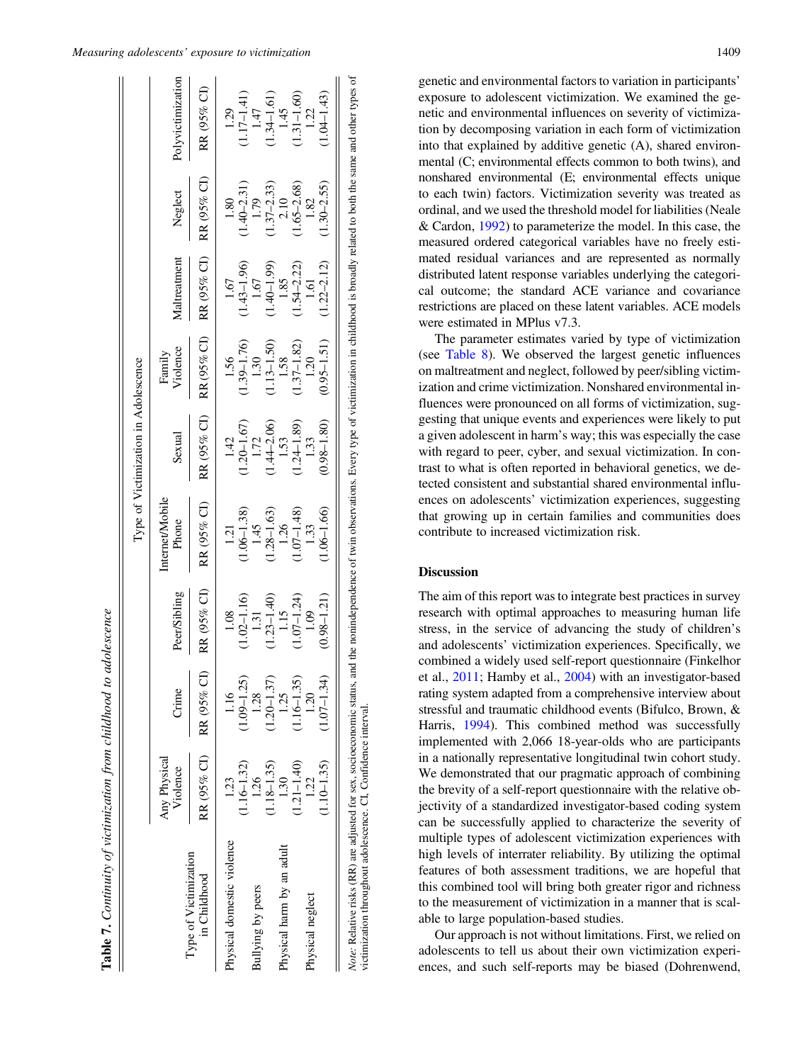<span id="page-10-0"></span>

|                                                                                                                                           |                          |                 |                 |                                 | Type of Victimization in Adolescence |                    |               |                 |                                                                                                                                               |
|-------------------------------------------------------------------------------------------------------------------------------------------|--------------------------|-----------------|-----------------|---------------------------------|--------------------------------------|--------------------|---------------|-----------------|-----------------------------------------------------------------------------------------------------------------------------------------------|
|                                                                                                                                           | Any Physical<br>Violence | Crime           | Peer/Sibling    | <b>Internet/Mobile</b><br>Phone | Sexual                               | Family<br>Violence | Maltreatment  | Neglect         | Polyvictimization                                                                                                                             |
| Type of Victimization<br>in Childhood                                                                                                     | RR (95% CI)              | RR (95% CI      | RR (95% CI)     | RR (95% CI)                     | RR (95% CI)                          | RR (95% CI)        | RR (95% CI)   | RR (95% CI)     | RR (95% CI)                                                                                                                                   |
| Physical domestic violence                                                                                                                | 1.23                     | 1.16            |                 | 1.21                            | 1.42                                 | 1.56               | 1.67          | 1.80            | 1.29                                                                                                                                          |
|                                                                                                                                           | $1.16 - 1.32$            | $(1.09 - 1.25)$ | $(1.02 - 1.16)$ | $1.06 - 1.38$                   | $1.20 - 1.67$                        | $(1.39 - 1.76)$    | $1.43 - 1.96$ | $(1.40 - 2.31)$ | $1.17 - 1.41$                                                                                                                                 |
| Bullying by peers                                                                                                                         | 1.26                     | 1.28            | 1.31            | 1.45                            | 1.72                                 | 1.30               | 1.67          | 1.79            | 1.47                                                                                                                                          |
|                                                                                                                                           | $1.18 - 1.35$            | $1.20 - 1.37$   | $1.23 - 1.40$   | $1.28 - 1.63$                   | $1.44 - 2.06$                        | $1.13 - 1.50$      | $1.40 - 1.99$ | $1.37 - 2.33$   | $1.34 - 1.61$                                                                                                                                 |
| Physical harm by an adult                                                                                                                 | 1.30                     | 1.25            | $1.15$          | 1.26                            |                                      | 1.58               | 1.85          | 2.10            | 1.45                                                                                                                                          |
|                                                                                                                                           | $(1.21 - 1.40)$          | $(1.16 - 1.35)$ | $1.07 - 1.24$   | $1.07 - 1.48$                   | $1.53$<br>(1.24–1.89)                | $1.37 - 1.82$      | $1.54 - 2.22$ | $1.65 - 2.68$   | $1.31 - 1.60$                                                                                                                                 |
| Physical neglect                                                                                                                          | 1.22                     | 1.20            | 1.09            | 1.33                            | 1.33                                 | 1.20               | 1.61          | 1.82            | 1.22                                                                                                                                          |
|                                                                                                                                           | $1.10 - 1.35$            | $(1.07 - 1.34)$ | $0.98 - 1.21$   | $1.06 - 1.66$                   | $(0.98 - 1.80)$                      | $0.95 - 1.51$      | $1.22 - 2.12$ | $1.30 - 2.55$   | $1.04 - 1.43$                                                                                                                                 |
| Note: Relative risks (RR) are adjusted for sex, socioeconomic status, a<br>victimization throughout adolescence. CI, Confidence interval. |                          |                 |                 |                                 |                                      |                    |               |                 | and the nonindependence of twin observations. Every type of victimization in childhood is broadly related to both the same and other types of |

Table 7. Continuity of victimization from childhood to adolescence

Continuity of victimization from childhood to adolescence

genetic and environmental factors to variation in participants' exposure to adolescent victimization. We examined the genetic and environmental influences on severity of victimization by decomposing variation in each form of victimization into that explained by additive genetic (A), shared environmental (C; environmental effects common to both twins), and nonshared environmental (E; environmental effects unique to each twin) factors. Victimization severity was treated as ordinal, and we used the threshold model for liabilities (Neale & Cardon, [1992\)](#page-16-0) to parameterize the model. In this case, the measured ordered categorical variables have no freely estimated residual variances and are represented as normally distributed latent response variables underlying the categorical outcome; the standard ACE variance and covariance restrictions are placed on these latent variables. ACE models were estimated in MPlus v7.3.

The parameter estimates varied by type of victimization (see [Table 8\)](#page-12-0). We observed the largest genetic influences on maltreatment and neglect, followed by peer/sibling victimization and crime victimization. Nonshared environmental influences were pronounced on all forms of victimization, suggesting that unique events and experiences were likely to put a given adolescent in harm's way; this was especially the case with regard to peer, cyber, and sexual victimization. In contrast to what is often reported in behavioral genetics, we detected consistent and substantial shared environmental influences on adolescents' victimization experiences, suggesting that growing up in certain families and communities does contribute to increased victimization risk.

# Discussion

The aim of this report was to integrate best practices in survey research with optimal approaches to measuring human life stress, in the service of advancing the study of children's and adolescents' victimization experiences. Specifically, we combined a widely used self-report questionnaire (Finkelhor et al., [2011](#page-16-0); Hamby et al., [2004\)](#page-16-0) with an investigator-based rating system adapted from a comprehensive interview about stressful and traumatic childhood events (Bifulco, Brown, & Harris, [1994](#page-15-0)). This combined method was successfully implemented with 2,066 18-year-olds who are participants in a nationally representative longitudinal twin cohort study. We demonstrated that our pragmatic approach of combining the brevity of a self-report questionnaire with the relative objectivity of a standardized investigator-based coding system can be successfully applied to characterize the severity of multiple types of adolescent victimization experiences with high levels of interrater reliability. By utilizing the optimal features of both assessment traditions, we are hopeful that this combined tool will bring both greater rigor and richness to the measurement of victimization in a manner that is scalable to large population-based studies.

Our approach is not without limitations. First, we relied on adolescents to tell us about their own victimization experiences, and such self-reports may be biased (Dohrenwend,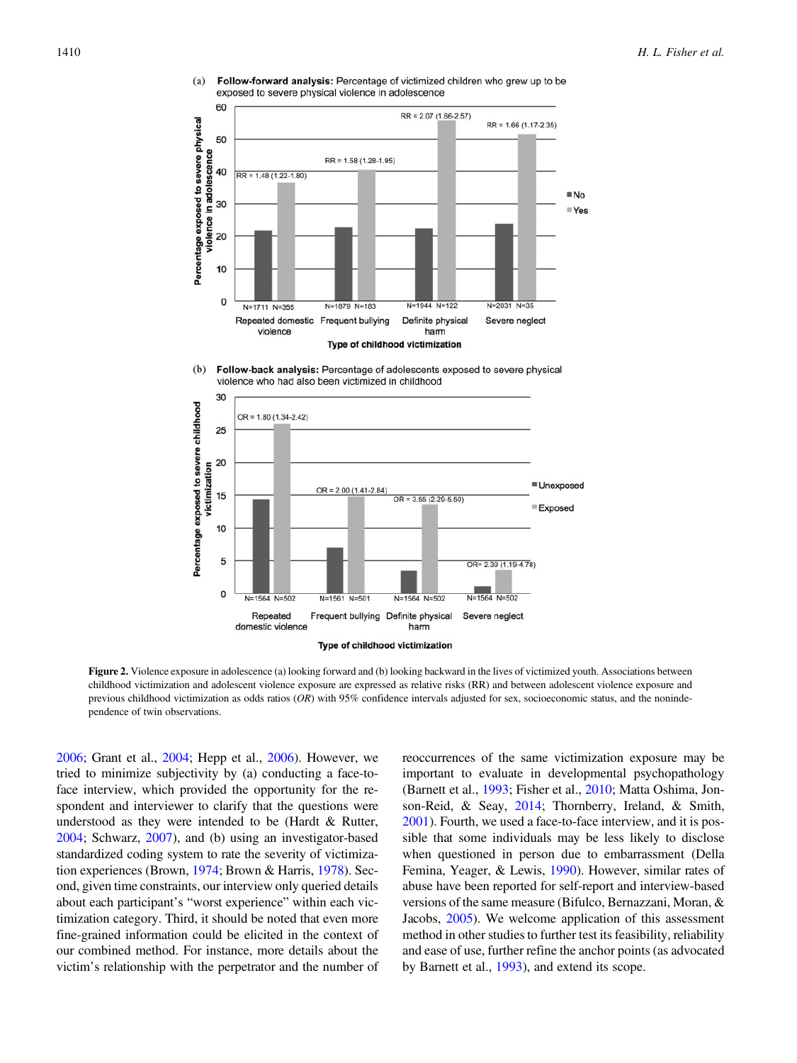

<span id="page-11-0"></span> $(a)$ Follow-forward analysis: Percentage of victimized children who grew up to be exposed to severe physical violence in adolescence

 $(b)$ Follow-back analysis: Percentage of adolescents exposed to severe physical violence who had also been victimized in childhood



Figure 2. Violence exposure in adolescence (a) looking forward and (b) looking backward in the lives of victimized youth. Associations between childhood victimization and adolescent violence exposure are expressed as relative risks (RR) and between adolescent violence exposure and previous childhood victimization as odds ratios  $(OR)$  with 95% confidence intervals adjusted for sex, socioeconomic status, and the nonindependence of twin observations.

[2006](#page-16-0); Grant et al., [2004;](#page-16-0) Hepp et al., [2006](#page-16-0)). However, we tried to minimize subjectivity by (a) conducting a face-toface interview, which provided the opportunity for the respondent and interviewer to clarify that the questions were understood as they were intended to be (Hardt & Rutter, [2004](#page-16-0); Schwarz, [2007\)](#page-16-0), and (b) using an investigator-based standardized coding system to rate the severity of victimization experiences (Brown, [1974](#page-15-0); Brown & Harris, [1978](#page-15-0)). Second, given time constraints, our interview only queried details about each participant's "worst experience" within each victimization category. Third, it should be noted that even more fine-grained information could be elicited in the context of our combined method. For instance, more details about the victim's relationship with the perpetrator and the number of

reoccurrences of the same victimization exposure may be important to evaluate in developmental psychopathology (Barnett et al., [1993](#page-15-0); Fisher et al., [2010](#page-16-0); Matta Oshima, Jonson-Reid, & Seay, [2014;](#page-16-0) Thornberry, Ireland, & Smith, [2001](#page-16-0)). Fourth, we used a face-to-face interview, and it is possible that some individuals may be less likely to disclose when questioned in person due to embarrassment (Della Femina, Yeager, & Lewis, [1990\)](#page-15-0). However, similar rates of abuse have been reported for self-report and interview-based versions of the same measure (Bifulco, Bernazzani, Moran, & Jacobs, [2005\)](#page-15-0). We welcome application of this assessment method in other studies to further test its feasibility, reliability and ease of use, further refine the anchor points (as advocated by Barnett et al., [1993](#page-15-0)), and extend its scope.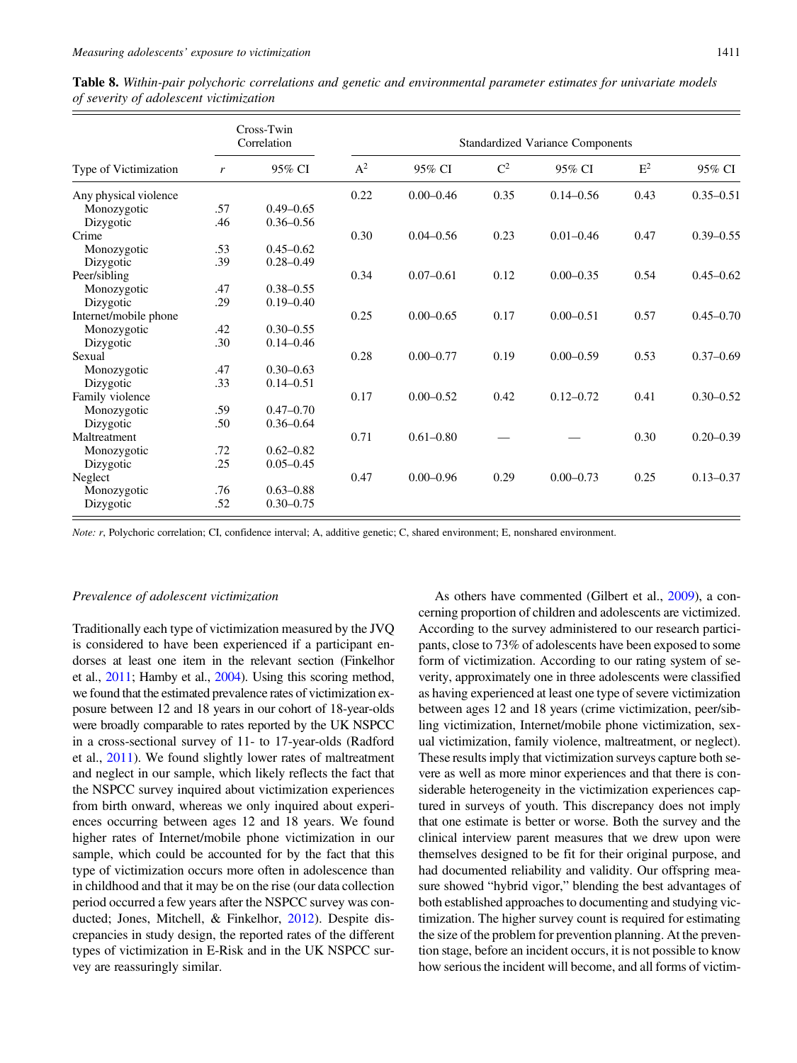|                       | Cross-Twin<br>Correlation |               |       | <b>Standardized Variance Components</b> |       |               |       |               |  |  |
|-----------------------|---------------------------|---------------|-------|-----------------------------------------|-------|---------------|-------|---------------|--|--|
| Type of Victimization | r                         | 95% CI        | $A^2$ | 95% CI                                  | $C^2$ | 95% CI        | $E^2$ | 95% CI        |  |  |
| Any physical violence |                           |               | 0.22  | $0.00 - 0.46$                           | 0.35  | $0.14 - 0.56$ | 0.43  | $0.35 - 0.51$ |  |  |
| Monozygotic           | .57                       | $0.49 - 0.65$ |       |                                         |       |               |       |               |  |  |
| Dizygotic             | .46                       | $0.36 - 0.56$ |       |                                         |       |               |       |               |  |  |
| Crime                 |                           |               | 0.30  | $0.04 - 0.56$                           | 0.23  | $0.01 - 0.46$ | 0.47  | $0.39 - 0.55$ |  |  |
| Monozygotic           | .53                       | $0.45 - 0.62$ |       |                                         |       |               |       |               |  |  |
| Dizygotic             | .39                       | $0.28 - 0.49$ |       |                                         |       |               |       |               |  |  |
| Peer/sibling          |                           |               | 0.34  | $0.07 - 0.61$                           | 0.12  | $0.00 - 0.35$ | 0.54  | $0.45 - 0.62$ |  |  |
| Monozygotic           | .47                       | $0.38 - 0.55$ |       |                                         |       |               |       |               |  |  |
| Dizygotic             | .29                       | $0.19 - 0.40$ |       |                                         |       |               |       |               |  |  |
| Internet/mobile phone |                           |               | 0.25  | $0.00 - 0.65$                           | 0.17  | $0.00 - 0.51$ | 0.57  | $0.45 - 0.70$ |  |  |
| Monozygotic           | .42                       | $0.30 - 0.55$ |       |                                         |       |               |       |               |  |  |
| Dizygotic             | .30                       | $0.14 - 0.46$ |       |                                         |       |               |       |               |  |  |
| Sexual                |                           |               | 0.28  | $0.00 - 0.77$                           | 0.19  | $0.00 - 0.59$ | 0.53  | $0.37 - 0.69$ |  |  |
| Monozygotic           | .47                       | $0.30 - 0.63$ |       |                                         |       |               |       |               |  |  |
| Dizygotic             | .33                       | $0.14 - 0.51$ |       |                                         |       |               |       |               |  |  |
| Family violence       |                           |               | 0.17  | $0.00 - 0.52$                           | 0.42  | $0.12 - 0.72$ | 0.41  | $0.30 - 0.52$ |  |  |
| Monozygotic           | .59                       | $0.47 - 0.70$ |       |                                         |       |               |       |               |  |  |
| Dizygotic             | .50                       | $0.36 - 0.64$ |       |                                         |       |               |       |               |  |  |
| Maltreatment          |                           |               | 0.71  | $0.61 - 0.80$                           |       |               | 0.30  | $0.20 - 0.39$ |  |  |
| Monozygotic           | .72                       | $0.62 - 0.82$ |       |                                         |       |               |       |               |  |  |
| Dizygotic             | .25                       | $0.05 - 0.45$ |       |                                         |       |               |       |               |  |  |
| Neglect               |                           |               | 0.47  | $0.00 - 0.96$                           | 0.29  | $0.00 - 0.73$ | 0.25  | $0.13 - 0.37$ |  |  |
| Monozygotic           | .76                       | $0.63 - 0.88$ |       |                                         |       |               |       |               |  |  |
| Dizygotic             | .52                       | $0.30 - 0.75$ |       |                                         |       |               |       |               |  |  |

<span id="page-12-0"></span>Table 8. Within-pair polychoric correlations and genetic and environmental parameter estimates for univariate models of severity of adolescent victimization

Note: r, Polychoric correlation; CI, confidence interval; A, additive genetic; C, shared environment; E, nonshared environment.

#### Prevalence of adolescent victimization

Traditionally each type of victimization measured by the JVQ is considered to have been experienced if a participant endorses at least one item in the relevant section (Finkelhor et al., [2011](#page-16-0); Hamby et al., [2004](#page-16-0)). Using this scoring method, we found that the estimated prevalence rates of victimization exposure between 12 and 18 years in our cohort of 18-year-olds were broadly comparable to rates reported by the UK NSPCC in a cross-sectional survey of 11- to 17-year-olds (Radford et al., [2011\)](#page-16-0). We found slightly lower rates of maltreatment and neglect in our sample, which likely reflects the fact that the NSPCC survey inquired about victimization experiences from birth onward, whereas we only inquired about experiences occurring between ages 12 and 18 years. We found higher rates of Internet/mobile phone victimization in our sample, which could be accounted for by the fact that this type of victimization occurs more often in adolescence than in childhood and that it may be on the rise (our data collection period occurred a few years after the NSPCC survey was conducted; Jones, Mitchell, & Finkelhor, [2012](#page-16-0)). Despite discrepancies in study design, the reported rates of the different types of victimization in E-Risk and in the UK NSPCC survey are reassuringly similar.

As others have commented (Gilbert et al., [2009\)](#page-16-0), a concerning proportion of children and adolescents are victimized. According to the survey administered to our research participants, close to 73% of adolescents have been exposed to some form of victimization. According to our rating system of severity, approximately one in three adolescents were classified as having experienced at least one type of severe victimization between ages 12 and 18 years (crime victimization, peer/sibling victimization, Internet/mobile phone victimization, sexual victimization, family violence, maltreatment, or neglect). These results imply that victimization surveys capture both severe as well as more minor experiences and that there is considerable heterogeneity in the victimization experiences captured in surveys of youth. This discrepancy does not imply that one estimate is better or worse. Both the survey and the clinical interview parent measures that we drew upon were themselves designed to be fit for their original purpose, and had documented reliability and validity. Our offspring measure showed "hybrid vigor," blending the best advantages of both established approaches to documenting and studying victimization. The higher survey count is required for estimating the size of the problem for prevention planning. At the prevention stage, before an incident occurs, it is not possible to know how serious the incident will become, and all forms of victim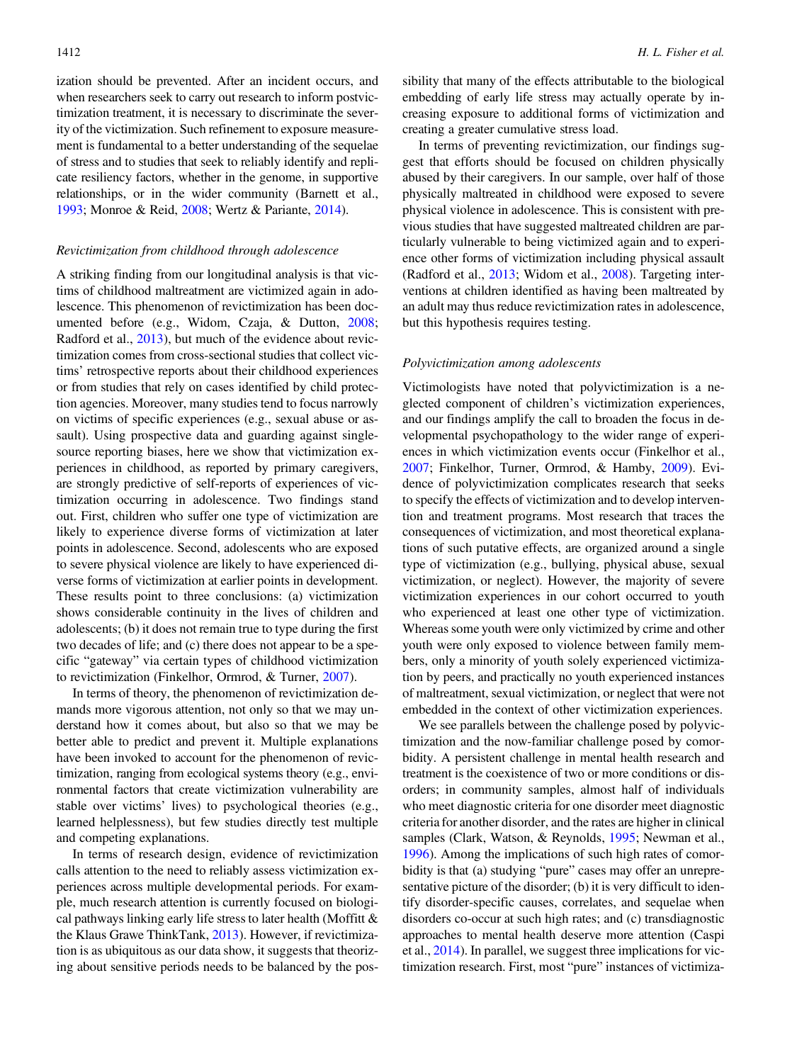ization should be prevented. After an incident occurs, and when researchers seek to carry out research to inform postvictimization treatment, it is necessary to discriminate the severity of the victimization. Such refinement to exposure measurement is fundamental to a better understanding of the sequelae of stress and to studies that seek to reliably identify and replicate resiliency factors, whether in the genome, in supportive relationships, or in the wider community (Barnett et al., [1993;](#page-15-0) Monroe & Reid, [2008](#page-16-0); Wertz & Pariante, [2014](#page-17-0)).

#### Revictimization from childhood through adolescence

A striking finding from our longitudinal analysis is that victims of childhood maltreatment are victimized again in adolescence. This phenomenon of revictimization has been documented before (e.g., Widom, Czaja, & Dutton, [2008](#page-17-0); Radford et al., [2013\)](#page-16-0), but much of the evidence about revictimization comes from cross-sectional studies that collect victims' retrospective reports about their childhood experiences or from studies that rely on cases identified by child protection agencies. Moreover, many studies tend to focus narrowly on victims of specific experiences (e.g., sexual abuse or assault). Using prospective data and guarding against singlesource reporting biases, here we show that victimization experiences in childhood, as reported by primary caregivers, are strongly predictive of self-reports of experiences of victimization occurring in adolescence. Two findings stand out. First, children who suffer one type of victimization are likely to experience diverse forms of victimization at later points in adolescence. Second, adolescents who are exposed to severe physical violence are likely to have experienced diverse forms of victimization at earlier points in development. These results point to three conclusions: (a) victimization shows considerable continuity in the lives of children and adolescents; (b) it does not remain true to type during the first two decades of life; and (c) there does not appear to be a specific "gateway" via certain types of childhood victimization to revictimization (Finkelhor, Ormrod, & Turner, [2007\)](#page-16-0).

In terms of theory, the phenomenon of revictimization demands more vigorous attention, not only so that we may understand how it comes about, but also so that we may be better able to predict and prevent it. Multiple explanations have been invoked to account for the phenomenon of revictimization, ranging from ecological systems theory (e.g., environmental factors that create victimization vulnerability are stable over victims' lives) to psychological theories (e.g., learned helplessness), but few studies directly test multiple and competing explanations.

In terms of research design, evidence of revictimization calls attention to the need to reliably assess victimization experiences across multiple developmental periods. For example, much research attention is currently focused on biological pathways linking early life stress to later health (Moffitt & the Klaus Grawe ThinkTank, [2013](#page-16-0)). However, if revictimization is as ubiquitous as our data show, it suggests that theorizing about sensitive periods needs to be balanced by the pos-

sibility that many of the effects attributable to the biological embedding of early life stress may actually operate by increasing exposure to additional forms of victimization and creating a greater cumulative stress load.

In terms of preventing revictimization, our findings suggest that efforts should be focused on children physically abused by their caregivers. In our sample, over half of those physically maltreated in childhood were exposed to severe physical violence in adolescence. This is consistent with previous studies that have suggested maltreated children are particularly vulnerable to being victimized again and to experience other forms of victimization including physical assault (Radford et al., [2013](#page-16-0); Widom et al., [2008](#page-17-0)). Targeting interventions at children identified as having been maltreated by an adult may thus reduce revictimization rates in adolescence, but this hypothesis requires testing.

#### Polyvictimization among adolescents

Victimologists have noted that polyvictimization is a neglected component of children's victimization experiences, and our findings amplify the call to broaden the focus in developmental psychopathology to the wider range of experiences in which victimization events occur (Finkelhor et al., [2007](#page-16-0); Finkelhor, Turner, Ormrod, & Hamby, [2009\)](#page-16-0). Evidence of polyvictimization complicates research that seeks to specify the effects of victimization and to develop intervention and treatment programs. Most research that traces the consequences of victimization, and most theoretical explanations of such putative effects, are organized around a single type of victimization (e.g., bullying, physical abuse, sexual victimization, or neglect). However, the majority of severe victimization experiences in our cohort occurred to youth who experienced at least one other type of victimization. Whereas some youth were only victimized by crime and other youth were only exposed to violence between family members, only a minority of youth solely experienced victimization by peers, and practically no youth experienced instances of maltreatment, sexual victimization, or neglect that were not embedded in the context of other victimization experiences.

We see parallels between the challenge posed by polyvictimization and the now-familiar challenge posed by comorbidity. A persistent challenge in mental health research and treatment is the coexistence of two or more conditions or disorders; in community samples, almost half of individuals who meet diagnostic criteria for one disorder meet diagnostic criteria for another disorder, and the rates are higher in clinical samples (Clark, Watson, & Reynolds, [1995;](#page-15-0) Newman et al., [1996](#page-16-0)). Among the implications of such high rates of comorbidity is that (a) studying "pure" cases may offer an unrepresentative picture of the disorder; (b) it is very difficult to identify disorder-specific causes, correlates, and sequelae when disorders co-occur at such high rates; and (c) transdiagnostic approaches to mental health deserve more attention (Caspi et al., [2014\)](#page-15-0). In parallel, we suggest three implications for victimization research. First, most "pure" instances of victimiza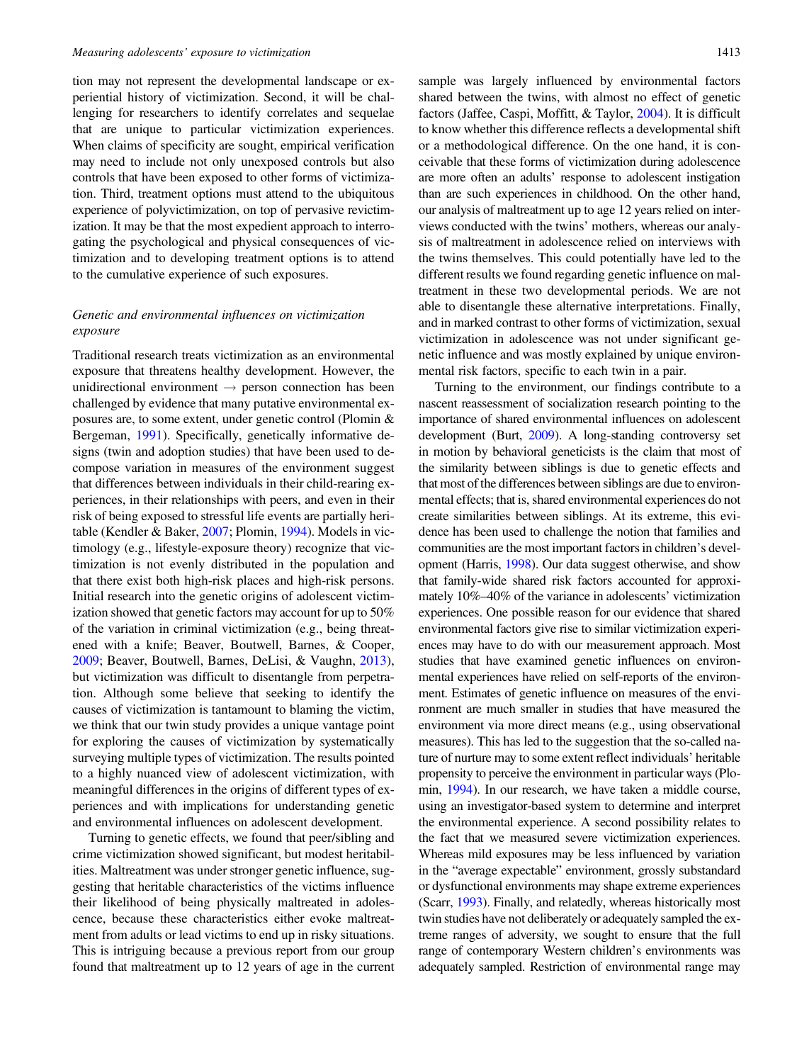tion may not represent the developmental landscape or experiential history of victimization. Second, it will be challenging for researchers to identify correlates and sequelae that are unique to particular victimization experiences. When claims of specificity are sought, empirical verification may need to include not only unexposed controls but also controls that have been exposed to other forms of victimization. Third, treatment options must attend to the ubiquitous experience of polyvictimization, on top of pervasive revictimization. It may be that the most expedient approach to interrogating the psychological and physical consequences of victimization and to developing treatment options is to attend to the cumulative experience of such exposures.

# Genetic and environmental influences on victimization exposure

Traditional research treats victimization as an environmental exposure that threatens healthy development. However, the unidirectional environment  $\rightarrow$  person connection has been challenged by evidence that many putative environmental exposures are, to some extent, under genetic control (Plomin & Bergeman, [1991](#page-16-0)). Specifically, genetically informative designs (twin and adoption studies) that have been used to decompose variation in measures of the environment suggest that differences between individuals in their child-rearing experiences, in their relationships with peers, and even in their risk of being exposed to stressful life events are partially heritable (Kendler & Baker, [2007;](#page-16-0) Plomin, [1994\)](#page-16-0). Models in victimology (e.g., lifestyle-exposure theory) recognize that victimization is not evenly distributed in the population and that there exist both high-risk places and high-risk persons. Initial research into the genetic origins of adolescent victimization showed that genetic factors may account for up to 50% of the variation in criminal victimization (e.g., being threatened with a knife; Beaver, Boutwell, Barnes, & Cooper, [2009](#page-15-0); Beaver, Boutwell, Barnes, DeLisi, & Vaughn, [2013](#page-15-0)), but victimization was difficult to disentangle from perpetration. Although some believe that seeking to identify the causes of victimization is tantamount to blaming the victim, we think that our twin study provides a unique vantage point for exploring the causes of victimization by systematically surveying multiple types of victimization. The results pointed to a highly nuanced view of adolescent victimization, with meaningful differences in the origins of different types of experiences and with implications for understanding genetic and environmental influences on adolescent development.

Turning to genetic effects, we found that peer/sibling and crime victimization showed significant, but modest heritabilities. Maltreatment was under stronger genetic influence, suggesting that heritable characteristics of the victims influence their likelihood of being physically maltreated in adolescence, because these characteristics either evoke maltreatment from adults or lead victims to end up in risky situations. This is intriguing because a previous report from our group found that maltreatment up to 12 years of age in the current sample was largely influenced by environmental factors shared between the twins, with almost no effect of genetic factors (Jaffee, Caspi, Moffitt, & Taylor, [2004\)](#page-16-0). It is difficult to know whether this difference reflects a developmental shift or a methodological difference. On the one hand, it is conceivable that these forms of victimization during adolescence are more often an adults' response to adolescent instigation than are such experiences in childhood. On the other hand, our analysis of maltreatment up to age 12 years relied on interviews conducted with the twins' mothers, whereas our analysis of maltreatment in adolescence relied on interviews with the twins themselves. This could potentially have led to the different results we found regarding genetic influence on maltreatment in these two developmental periods. We are not able to disentangle these alternative interpretations. Finally, and in marked contrast to other forms of victimization, sexual victimization in adolescence was not under significant genetic influence and was mostly explained by unique environmental risk factors, specific to each twin in a pair.

Turning to the environment, our findings contribute to a nascent reassessment of socialization research pointing to the importance of shared environmental influences on adolescent development (Burt, [2009](#page-15-0)). A long-standing controversy set in motion by behavioral geneticists is the claim that most of the similarity between siblings is due to genetic effects and that most of the differences between siblings are due to environmental effects; that is, shared environmental experiences do not create similarities between siblings. At its extreme, this evidence has been used to challenge the notion that families and communities are the most important factors in children's development (Harris, [1998\)](#page-16-0). Our data suggest otherwise, and show that family-wide shared risk factors accounted for approximately 10%–40% of the variance in adolescents' victimization experiences. One possible reason for our evidence that shared environmental factors give rise to similar victimization experiences may have to do with our measurement approach. Most studies that have examined genetic influences on environmental experiences have relied on self-reports of the environment. Estimates of genetic influence on measures of the environment are much smaller in studies that have measured the environment via more direct means (e.g., using observational measures). This has led to the suggestion that the so-called nature of nurture may to some extent reflect individuals' heritable propensity to perceive the environment in particular ways (Plomin, [1994](#page-16-0)). In our research, we have taken a middle course, using an investigator-based system to determine and interpret the environmental experience. A second possibility relates to the fact that we measured severe victimization experiences. Whereas mild exposures may be less influenced by variation in the "average expectable" environment, grossly substandard or dysfunctional environments may shape extreme experiences (Scarr, [1993\)](#page-16-0). Finally, and relatedly, whereas historically most twin studies have not deliberately or adequately sampled the extreme ranges of adversity, we sought to ensure that the full range of contemporary Western children's environments was adequately sampled. Restriction of environmental range may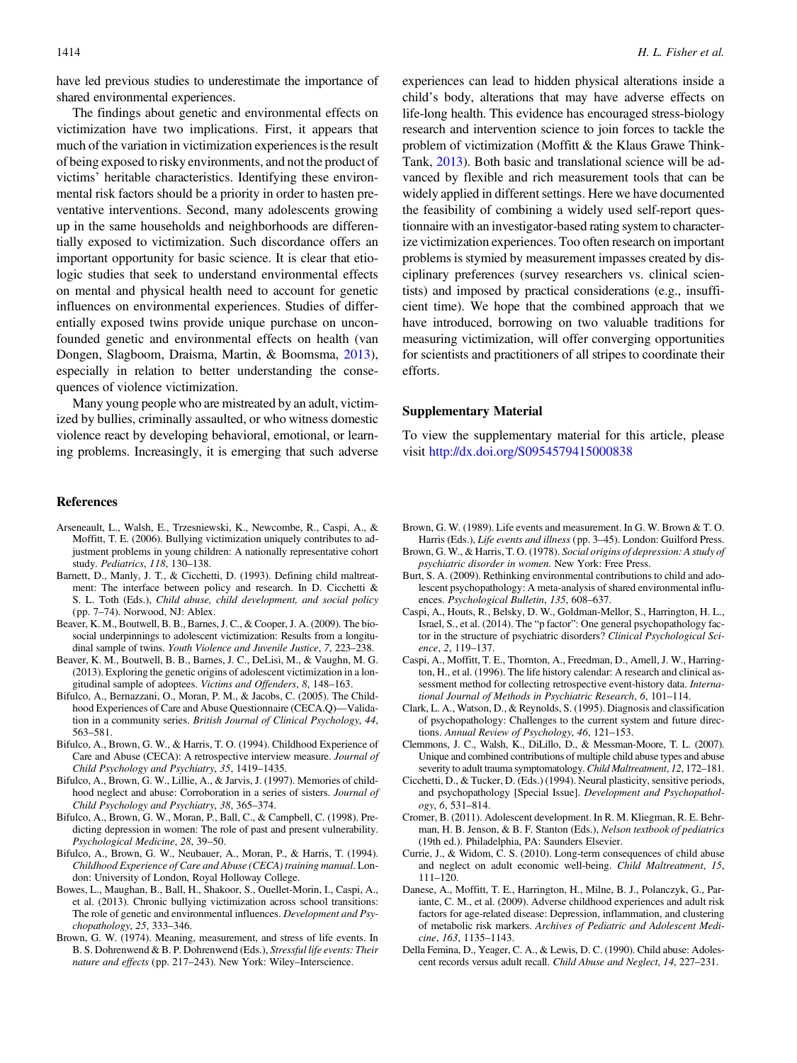<span id="page-15-0"></span>have led previous studies to underestimate the importance of shared environmental experiences.

The findings about genetic and environmental effects on victimization have two implications. First, it appears that much of the variation in victimization experiences is the result of being exposed to risky environments, and not the product of victims' heritable characteristics. Identifying these environmental risk factors should be a priority in order to hasten preventative interventions. Second, many adolescents growing up in the same households and neighborhoods are differentially exposed to victimization. Such discordance offers an important opportunity for basic science. It is clear that etiologic studies that seek to understand environmental effects on mental and physical health need to account for genetic influences on environmental experiences. Studies of differentially exposed twins provide unique purchase on unconfounded genetic and environmental effects on health (van Dongen, Slagboom, Draisma, Martin, & Boomsma, [2013](#page-17-0)), especially in relation to better understanding the consequences of violence victimization.

Many young people who are mistreated by an adult, victimized by bullies, criminally assaulted, or who witness domestic violence react by developing behavioral, emotional, or learning problems. Increasingly, it is emerging that such adverse

#### References

- Arseneault, L., Walsh, E., Trzesniewski, K., Newcombe, R., Caspi, A., & Moffitt, T. E. (2006). Bullying victimization uniquely contributes to adjustment problems in young children: A nationally representative cohort study. Pediatrics, 118, 130–138.
- Barnett, D., Manly, J. T., & Cicchetti, D. (1993). Defining child maltreatment: The interface between policy and research. In D. Cicchetti & S. L. Toth (Eds.), Child abuse, child development, and social policy (pp. 7–74). Norwood, NJ: Ablex.
- Beaver, K. M., Boutwell, B. B., Barnes, J. C., & Cooper, J. A. (2009). The biosocial underpinnings to adolescent victimization: Results from a longitudinal sample of twins. Youth Violence and Juvenile Justice, 7, 223–238.
- Beaver, K. M., Boutwell, B. B., Barnes, J. C., DeLisi, M., & Vaughn, M. G. (2013). Exploring the genetic origins of adolescent victimization in a longitudinal sample of adoptees. Victims and Offenders, 8, 148–163.
- Bifulco, A., Bernazzani, O., Moran, P. M., & Jacobs, C. (2005). The Childhood Experiences of Care and Abuse Questionnaire (CECA.Q)—Validation in a community series. British Journal of Clinical Psychology, 44, 563–581.
- Bifulco, A., Brown, G. W., & Harris, T. O. (1994). Childhood Experience of Care and Abuse (CECA): A retrospective interview measure. Journal of Child Psychology and Psychiatry, 35, 1419–1435.
- Bifulco, A., Brown, G. W., Lillie, A., & Jarvis, J. (1997). Memories of childhood neglect and abuse: Corroboration in a series of sisters. Journal of Child Psychology and Psychiatry, 38, 365–374.
- Bifulco, A., Brown, G. W., Moran, P., Ball, C., & Campbell, C. (1998). Predicting depression in women: The role of past and present vulnerability. Psychological Medicine, 28, 39–50.
- Bifulco, A., Brown, G. W., Neubauer, A., Moran, P., & Harris, T. (1994). Childhood Experience of Care and Abuse (CECA) training manual. London: University of London, Royal Holloway College.
- Bowes, L., Maughan, B., Ball, H., Shakoor, S., Ouellet-Morin, I., Caspi, A., et al. (2013). Chronic bullying victimization across school transitions: The role of genetic and environmental influences. Development and Psychopathology, 25, 333–346.
- Brown, G. W. (1974). Meaning, measurement, and stress of life events. In B. S. Dohrenwend & B. P. Dohrenwend (Eds.), Stressful life events: Their nature and effects (pp. 217–243). New York: Wiley-Interscience.

experiences can lead to hidden physical alterations inside a child's body, alterations that may have adverse effects on life-long health. This evidence has encouraged stress-biology research and intervention science to join forces to tackle the problem of victimization (Moffitt & the Klaus Grawe Think-Tank, [2013](#page-16-0)). Both basic and translational science will be advanced by flexible and rich measurement tools that can be widely applied in different settings. Here we have documented the feasibility of combining a widely used self-report questionnaire with an investigator-based rating system to characterize victimization experiences. Too often research on important problems is stymied by measurement impasses created by disciplinary preferences (survey researchers vs. clinical scientists) and imposed by practical considerations (e.g., insufficient time). We hope that the combined approach that we have introduced, borrowing on two valuable traditions for measuring victimization, will offer converging opportunities for scientists and practitioners of all stripes to coordinate their efforts.

# Supplementary Material

To view the supplementary material for this article, please visit <http://dx.doi.org/S0954579415000838>

- Brown, G. W. (1989). Life events and measurement. In G. W. Brown & T. O. Harris (Eds.), Life events and illness (pp. 3–45). London: Guilford Press.
- Brown, G. W., & Harris, T. O. (1978). Social origins of depression: A study of psychiatric disorder in women. New York: Free Press.
- Burt, S. A. (2009). Rethinking environmental contributions to child and adolescent psychopathology: A meta-analysis of shared environmental influences. Psychological Bulletin, 135, 608–637.
- Caspi, A., Houts, R., Belsky, D. W., Goldman-Mellor, S., Harrington, H. L., Israel, S., et al. (2014). The "p factor": One general psychopathology factor in the structure of psychiatric disorders? Clinical Psychological Science, 2, 119–137.
- Caspi, A., Moffitt, T. E., Thornton, A., Freedman, D., Amell, J. W., Harrington, H., et al. (1996). The life history calendar: A research and clinical assessment method for collecting retrospective event-history data. International Journal of Methods in Psychiatric Research, 6, 101–114.
- Clark, L. A., Watson, D., & Reynolds, S. (1995). Diagnosis and classification of psychopathology: Challenges to the current system and future directions. Annual Review of Psychology, 46, 121–153.
- Clemmons, J. C., Walsh, K., DiLillo, D., & Messman-Moore, T. L. (2007). Unique and combined contributions of multiple child abuse types and abuse severity to adult trauma symptomatology.Child Maltreatment, 12, 172–181.
- Cicchetti, D., & Tucker, D. (Eds.) (1994). Neural plasticity, sensitive periods, and psychopathology [Special Issue]. Development and Psychopathology, 6, 531–814.
- Cromer, B. (2011). Adolescent development. In R. M. Kliegman, R. E. Behrman, H. B. Jenson, & B. F. Stanton (Eds.), Nelson textbook of pediatrics (19th ed.). Philadelphia, PA: Saunders Elsevier.
- Currie, J., & Widom, C. S. (2010). Long-term consequences of child abuse and neglect on adult economic well-being. Child Maltreatment, 15, 111–120.
- Danese, A., Moffitt, T. E., Harrington, H., Milne, B. J., Polanczyk, G., Pariante, C. M., et al. (2009). Adverse childhood experiences and adult risk factors for age-related disease: Depression, inflammation, and clustering of metabolic risk markers. Archives of Pediatric and Adolescent Medicine, 163, 1135–1143.
- Della Femina, D., Yeager, C. A., & Lewis, D. C. (1990). Child abuse: Adolescent records versus adult recall. Child Abuse and Neglect, 14, 227–231.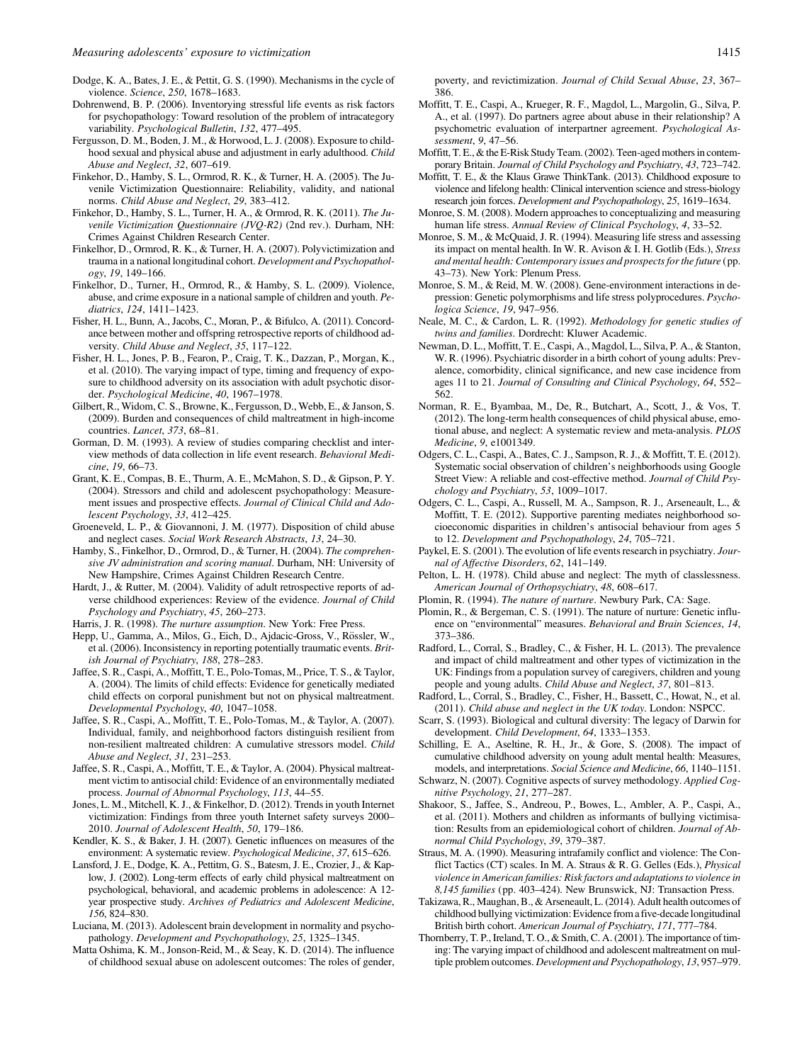<span id="page-16-0"></span>Dodge, K. A., Bates, J. E., & Pettit, G. S. (1990). Mechanisms in the cycle of violence. Science, 250, 1678–1683.

- Dohrenwend, B. P. (2006). Inventorying stressful life events as risk factors for psychopathology: Toward resolution of the problem of intracategory variability. Psychological Bulletin, 132, 477–495.
- Fergusson, D. M., Boden, J. M., & Horwood, L. J. (2008). Exposure to childhood sexual and physical abuse and adjustment in early adulthood. Child Abuse and Neglect, 32, 607–619.
- Finkehor, D., Hamby, S. L., Ormrod, R. K., & Turner, H. A. (2005). The Juvenile Victimization Questionnaire: Reliability, validity, and national norms. Child Abuse and Neglect, 29, 383–412.
- Finkehor, D., Hamby, S. L., Turner, H. A., & Ormrod, R. K. (2011). The Juvenile Victimization Questionnaire (JVQ-R2) (2nd rev.). Durham, NH: Crimes Against Children Research Center.
- Finkelhor, D., Ormrod, R. K., & Turner, H. A. (2007). Polyvictimization and trauma in a national longitudinal cohort. Development and Psychopathology, 19, 149–166.
- Finkelhor, D., Turner, H., Ormrod, R., & Hamby, S. L. (2009). Violence, abuse, and crime exposure in a national sample of children and youth. Pediatrics, 124, 1411–1423.
- Fisher, H. L., Bunn, A., Jacobs, C., Moran, P., & Bifulco, A. (2011). Concordance between mother and offspring retrospective reports of childhood adversity. Child Abuse and Neglect, 35, 117–122.
- Fisher, H. L., Jones, P. B., Fearon, P., Craig, T. K., Dazzan, P., Morgan, K., et al. (2010). The varying impact of type, timing and frequency of exposure to childhood adversity on its association with adult psychotic disorder. Psychological Medicine, 40, 1967–1978.
- Gilbert, R., Widom, C. S., Browne, K., Fergusson, D., Webb, E., & Janson, S. (2009). Burden and consequences of child maltreatment in high-income countries. Lancet, 373, 68–81.
- Gorman, D. M. (1993). A review of studies comparing checklist and interview methods of data collection in life event research. Behavioral Medicine, 19, 66–73.
- Grant, K. E., Compas, B. E., Thurm, A. E., McMahon, S. D., & Gipson, P. Y. (2004). Stressors and child and adolescent psychopathology: Measurement issues and prospective effects. Journal of Clinical Child and Adolescent Psychology, 33, 412–425.
- Groeneveld, L. P., & Giovannoni, J. M. (1977). Disposition of child abuse and neglect cases. Social Work Research Abstracts, 13, 24–30.
- Hamby, S., Finkelhor, D., Ormrod, D., & Turner, H. (2004). The comprehensive JV administration and scoring manual. Durham, NH: University of New Hampshire, Crimes Against Children Research Centre.
- Hardt, J., & Rutter, M. (2004). Validity of adult retrospective reports of adverse childhood experiences: Review of the evidence. Journal of Child Psychology and Psychiatry, 45, 260–273.

Harris, J. R. (1998). The nurture assumption. New York: Free Press.

- Hepp, U., Gamma, A., Milos, G., Eich, D., Ajdacic-Gross, V., Rössler, W., et al. (2006). Inconsistency in reporting potentially traumatic events. British Journal of Psychiatry, 188, 278–283.
- Jaffee, S. R., Caspi, A., Moffitt, T. E., Polo-Tomas, M., Price, T. S., & Taylor, A. (2004). The limits of child effects: Evidence for genetically mediated child effects on corporal punishment but not on physical maltreatment. Developmental Psychology, 40, 1047–1058.
- Jaffee, S. R., Caspi, A., Moffitt, T. E., Polo-Tomas, M., & Taylor, A. (2007). Individual, family, and neighborhood factors distinguish resilient from non-resilient maltreated children: A cumulative stressors model. Child Abuse and Neglect, 31, 231–253.
- Jaffee, S. R., Caspi, A., Moffitt, T. E., & Taylor, A. (2004). Physical maltreatment victim to antisocial child: Evidence of an environmentally mediated process. Journal of Abnormal Psychology, 113, 44–55.
- Jones, L. M., Mitchell, K. J., & Finkelhor, D. (2012). Trends in youth Internet victimization: Findings from three youth Internet safety surveys 2000– 2010. Journal of Adolescent Health, 50, 179–186.
- Kendler, K. S., & Baker, J. H. (2007). Genetic influences on measures of the environment: A systematic review. Psychological Medicine, 37, 615–626.
- Lansford, J. E., Dodge, K. A., Pettitm, G. S., Batesm, J. E., Crozier, J., & Kaplow, J. (2002). Long-term effects of early child physical maltreatment on psychological, behavioral, and academic problems in adolescence: A 12 year prospective study. Archives of Pediatrics and Adolescent Medicine, 156, 824–830.
- Luciana, M. (2013). Adolescent brain development in normality and psychopathology. Development and Psychopathology, 25, 1325–1345.
- Matta Oshima, K. M., Jonson-Reid, M., & Seay, K. D. (2014). The influence of childhood sexual abuse on adolescent outcomes: The roles of gender,

poverty, and revictimization. Journal of Child Sexual Abuse, 23, 367– 386.

- Moffitt, T. E., Caspi, A., Krueger, R. F., Magdol, L., Margolin, G., Silva, P. A., et al. (1997). Do partners agree about abuse in their relationship? A psychometric evaluation of interpartner agreement. Psychological Assessment, 9, 47–56.
- Moffitt, T. E., & the E-Risk Study Team. (2002). Teen-aged mothers in contemporary Britain. Journal of Child Psychology and Psychiatry, 43, 723–742.
- Moffitt, T. E., & the Klaus Grawe ThinkTank. (2013). Childhood exposure to violence and lifelong health: Clinical intervention science and stress-biology research join forces. Development and Psychopathology, 25, 1619–1634.
- Monroe, S. M. (2008). Modern approaches to conceptualizing and measuring human life stress. Annual Review of Clinical Psychology, 4, 33–52.
- Monroe, S. M., & McQuaid, J. R. (1994). Measuring life stress and assessing its impact on mental health. In W. R. Avison & I. H. Gotlib (Eds.), Stress and mental health: Contemporary issues and prospects for the future (pp. 43–73). New York: Plenum Press.
- Monroe, S. M., & Reid, M. W. (2008). Gene-environment interactions in depression: Genetic polymorphisms and life stress polyprocedures. Psychologica Science, 19, 947–956.
- Neale, M. C., & Cardon, L. R. (1992). Methodology for genetic studies of twins and families. Dordrecht: Kluwer Academic.
- Newman, D. L., Moffitt, T. E., Caspi, A., Magdol, L., Silva, P. A., & Stanton, W. R. (1996). Psychiatric disorder in a birth cohort of young adults: Prevalence, comorbidity, clinical significance, and new case incidence from ages 11 to 21. Journal of Consulting and Clinical Psychology, 64, 552– 562.
- Norman, R. E., Byambaa, M., De, R., Butchart, A., Scott, J., & Vos, T. (2012). The long-term health consequences of child physical abuse, emotional abuse, and neglect: A systematic review and meta-analysis. PLOS Medicine, 9, e1001349.
- Odgers, C. L., Caspi, A., Bates, C. J., Sampson, R. J., & Moffitt, T. E. (2012). Systematic social observation of children's neighborhoods using Google Street View: A reliable and cost-effective method. Journal of Child Psychology and Psychiatry, 53, 1009–1017.
- Odgers, C. L., Caspi, A., Russell, M. A., Sampson, R. J., Arseneault, L., & Moffitt, T. E. (2012). Supportive parenting mediates neighborhood socioeconomic disparities in children's antisocial behaviour from ages 5 to 12. Development and Psychopathology, 24, 705–721.
- Paykel, E. S. (2001). The evolution of life events research in psychiatry. Journal of Affective Disorders, 62, 141–149.
- Pelton, L. H. (1978). Child abuse and neglect: The myth of classlessness. American Journal of Orthopsychiatry, 48, 608–617.
- Plomin, R. (1994). The nature of nurture. Newbury Park, CA: Sage.
- Plomin, R., & Bergeman, C. S. (1991). The nature of nurture: Genetic influence on "environmental" measures. Behavioral and Brain Sciences, 14, 373–386.
- Radford, L., Corral, S., Bradley, C., & Fisher, H. L. (2013). The prevalence and impact of child maltreatment and other types of victimization in the UK: Findings from a population survey of caregivers, children and young people and young adults. Child Abuse and Neglect, 37, 801–813.
- Radford, L., Corral, S., Bradley, C., Fisher, H., Bassett, C., Howat, N., et al. (2011). Child abuse and neglect in the UK today. London: NSPCC.
- Scarr, S. (1993). Biological and cultural diversity: The legacy of Darwin for development. Child Development, 64, 1333–1353.
- Schilling, E. A., Aseltine, R. H., Jr., & Gore, S. (2008). The impact of cumulative childhood adversity on young adult mental health: Measures, models, and interpretations. Social Science and Medicine, 66, 1140–1151.
- Schwarz, N. (2007). Cognitive aspects of survey methodology. Applied Cognitive Psychology, 21, 277–287.
- Shakoor, S., Jaffee, S., Andreou, P., Bowes, L., Ambler, A. P., Caspi, A., et al. (2011). Mothers and children as informants of bullying victimisation: Results from an epidemiological cohort of children. Journal of Abnormal Child Psychology, 39, 379–387.
- Straus, M. A. (1990). Measuring intrafamily conflict and violence: The Conflict Tactics (CT) scales. In M. A. Straus & R. G. Gelles (Eds.), Physical violence in American families: Risk factors and adaptations to violence in 8,145 families (pp. 403–424). New Brunswick, NJ: Transaction Press.
- Takizawa, R., Maughan, B., & Arseneault, L. (2014). Adult health outcomes of childhood bullying victimization: Evidence from a five-decade longitudinal British birth cohort. American Journal of Psychiatry, 171, 777–784.
- Thornberry, T. P., Ireland, T. O., & Smith, C. A. (2001). The importance of timing: The varying impact of childhood and adolescent maltreatment on multiple problem outcomes. Development and Psychopathology, 13, 957–979.